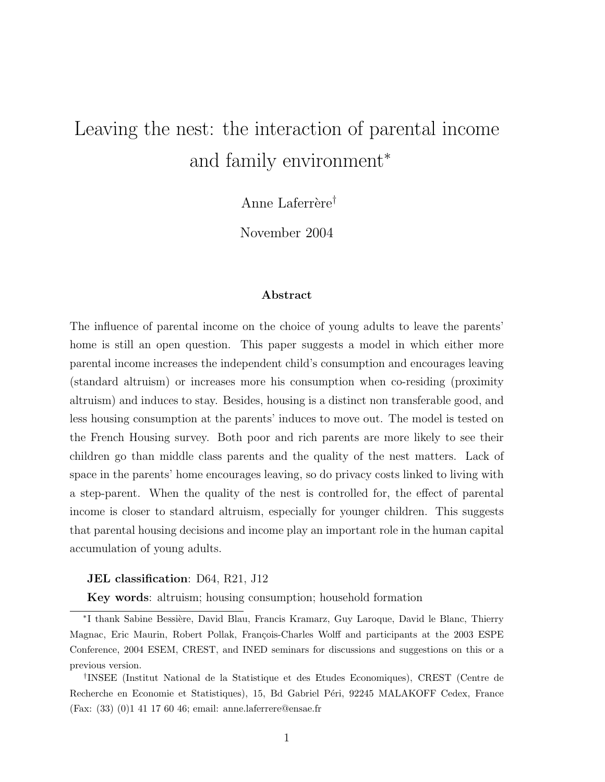# Leaving the nest: the interaction of parental income and family environment<sup>∗</sup>

Anne Laferrère<sup>†</sup>

November 2004

### Abstract

The influence of parental income on the choice of young adults to leave the parents' home is still an open question. This paper suggests a model in which either more parental income increases the independent child's consumption and encourages leaving (standard altruism) or increases more his consumption when co-residing (proximity altruism) and induces to stay. Besides, housing is a distinct non transferable good, and less housing consumption at the parents' induces to move out. The model is tested on the French Housing survey. Both poor and rich parents are more likely to see their children go than middle class parents and the quality of the nest matters. Lack of space in the parents' home encourages leaving, so do privacy costs linked to living with a step-parent. When the quality of the nest is controlled for, the effect of parental income is closer to standard altruism, especially for younger children. This suggests that parental housing decisions and income play an important role in the human capital accumulation of young adults.

#### JEL classification: D64, R21, J12

Key words: altruism; housing consumption; household formation

<sup>\*</sup>I thank Sabine Bessière, David Blau, Francis Kramarz, Guy Laroque, David le Blanc, Thierry Magnac, Eric Maurin, Robert Pollak, François-Charles Wolff and participants at the 2003 ESPE Conference, 2004 ESEM, CREST, and INED seminars for discussions and suggestions on this or a previous version.

<sup>†</sup> INSEE (Institut National de la Statistique et des Etudes Economiques), CREST (Centre de Recherche en Economie et Statistiques), 15, Bd Gabriel Péri, 92245 MALAKOFF Cedex, France (Fax: (33) (0)1 41 17 60 46; email: anne.laferrere@ensae.fr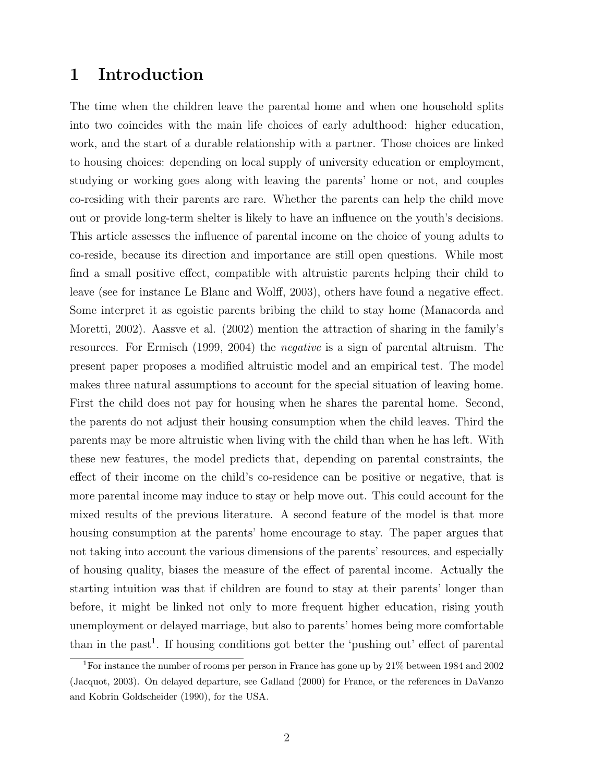### 1 Introduction

The time when the children leave the parental home and when one household splits into two coincides with the main life choices of early adulthood: higher education, work, and the start of a durable relationship with a partner. Those choices are linked to housing choices: depending on local supply of university education or employment, studying or working goes along with leaving the parents' home or not, and couples co-residing with their parents are rare. Whether the parents can help the child move out or provide long-term shelter is likely to have an influence on the youth's decisions. This article assesses the influence of parental income on the choice of young adults to co-reside, because its direction and importance are still open questions. While most find a small positive effect, compatible with altruistic parents helping their child to leave (see for instance Le Blanc and Wolff, 2003), others have found a negative effect. Some interpret it as egoistic parents bribing the child to stay home (Manacorda and Moretti, 2002). Aassve et al. (2002) mention the attraction of sharing in the family's resources. For Ermisch (1999, 2004) the negative is a sign of parental altruism. The present paper proposes a modified altruistic model and an empirical test. The model makes three natural assumptions to account for the special situation of leaving home. First the child does not pay for housing when he shares the parental home. Second, the parents do not adjust their housing consumption when the child leaves. Third the parents may be more altruistic when living with the child than when he has left. With these new features, the model predicts that, depending on parental constraints, the effect of their income on the child's co-residence can be positive or negative, that is more parental income may induce to stay or help move out. This could account for the mixed results of the previous literature. A second feature of the model is that more housing consumption at the parents' home encourage to stay. The paper argues that not taking into account the various dimensions of the parents' resources, and especially of housing quality, biases the measure of the effect of parental income. Actually the starting intuition was that if children are found to stay at their parents' longer than before, it might be linked not only to more frequent higher education, rising youth unemployment or delayed marriage, but also to parents' homes being more comfortable than in the past<sup>1</sup>. If housing conditions got better the 'pushing out' effect of parental

<sup>1</sup>For instance the number of rooms per person in France has gone up by 21% between 1984 and 2002 (Jacquot, 2003). On delayed departure, see Galland (2000) for France, or the references in DaVanzo and Kobrin Goldscheider (1990), for the USA.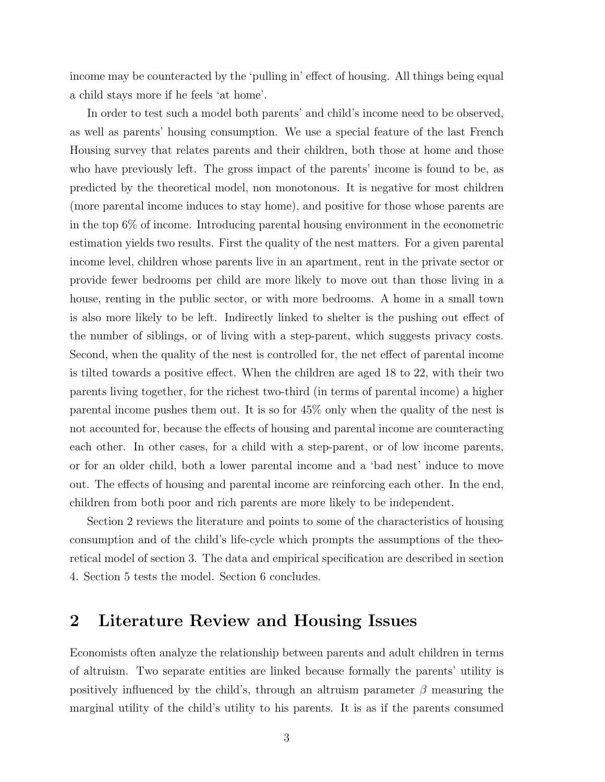income may be counteracted by the 'pulling in' effect of housing. All things being equal a child stays more if he feels 'at home'.

In order to test such a model both parents' and child's income need to be observed, as well as parents' housing consumption. We use a special feature of the last French Housing survey that relates parents and their children, both those at home and those who have previously left. The gross impact of the parents' income is found to be, as predicted by the theoretical model, non monotonous. It is negative for most children (more parental income induces to stay home), and positive for those whose parents are in the top 6% of income. Introducing parental housing environment in the econometric estimation yields two results. First the quality of the nest matters. For a given parental income level, children whose parents live in an apartment, rent in the private sector or provide fewer bedrooms per child are more likely to move out than those living in a house, renting in the public sector, or with more bedrooms. A home in a small town is also more likely to be left. Indirectly linked to shelter is the pushing out effect of the number of siblings, or of living with a step-parent, which suggests privacy costs. Second, when the quality of the nest is controlled for, the net effect of parental income is tilted towards a positive effect. When the children are aged 18 to 22, with their two parents living together, for the richest two-third (in terms of parental income) a higher parental income pushes them out. It is so for 45% only when the quality of the nest is not accounted for, because the effects of housing and parental income are counteracting each other. In other cases, for a child with a step-parent, or of low income parents, or for an older child, both a lower parental income and a 'bad nest' induce to move out. The effects of housing and parental income are reinforcing each other. In the end, children from both poor and rich parents are more likely to be independent.

Section 2 reviews the literature and points to some of the characteristics of housing consumption and of the child's life-cycle which prompts the assumptions of the theoretical model of section 3. The data and empirical specification are described in section 4. Section 5 tests the model. Section 6 concludes.

### 2 Literature Review and Housing Issues

Economists often analyze the relationship between parents and adult children in terms of altruism. Two separate entities are linked because formally the parents' utility is positively influenced by the child's, through an altruism parameter  $\beta$  measuring the marginal utility of the child's utility to his parents. It is as if the parents consumed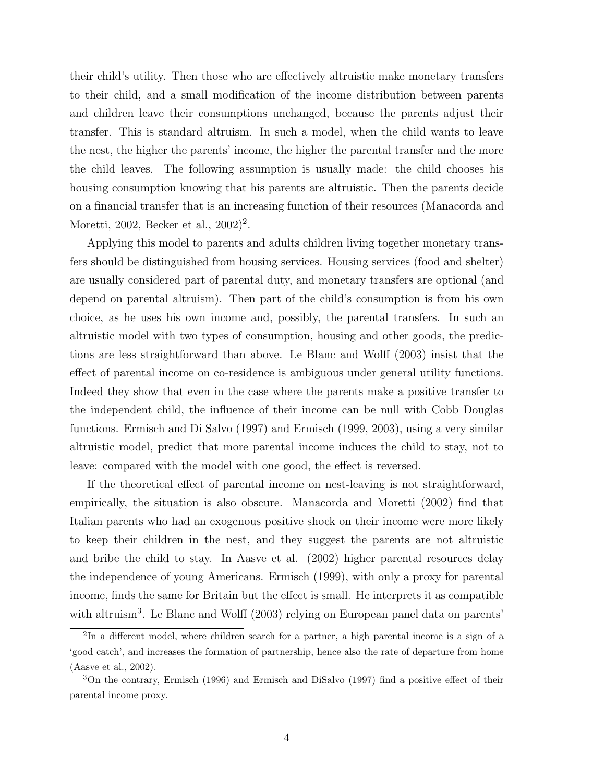their child's utility. Then those who are effectively altruistic make monetary transfers to their child, and a small modification of the income distribution between parents and children leave their consumptions unchanged, because the parents adjust their transfer. This is standard altruism. In such a model, when the child wants to leave the nest, the higher the parents' income, the higher the parental transfer and the more the child leaves. The following assumption is usually made: the child chooses his housing consumption knowing that his parents are altruistic. Then the parents decide on a financial transfer that is an increasing function of their resources (Manacorda and Moretti, 2002, Becker et al., 2002)<sup>2</sup>.

Applying this model to parents and adults children living together monetary transfers should be distinguished from housing services. Housing services (food and shelter) are usually considered part of parental duty, and monetary transfers are optional (and depend on parental altruism). Then part of the child's consumption is from his own choice, as he uses his own income and, possibly, the parental transfers. In such an altruistic model with two types of consumption, housing and other goods, the predictions are less straightforward than above. Le Blanc and Wolff (2003) insist that the effect of parental income on co-residence is ambiguous under general utility functions. Indeed they show that even in the case where the parents make a positive transfer to the independent child, the influence of their income can be null with Cobb Douglas functions. Ermisch and Di Salvo (1997) and Ermisch (1999, 2003), using a very similar altruistic model, predict that more parental income induces the child to stay, not to leave: compared with the model with one good, the effect is reversed.

If the theoretical effect of parental income on nest-leaving is not straightforward, empirically, the situation is also obscure. Manacorda and Moretti (2002) find that Italian parents who had an exogenous positive shock on their income were more likely to keep their children in the nest, and they suggest the parents are not altruistic and bribe the child to stay. In Aasve et al. (2002) higher parental resources delay the independence of young Americans. Ermisch (1999), with only a proxy for parental income, finds the same for Britain but the effect is small. He interprets it as compatible with altruism<sup>3</sup>. Le Blanc and Wolff (2003) relying on European panel data on parents'

<sup>&</sup>lt;sup>2</sup>In a different model, where children search for a partner, a high parental income is a sign of a 'good catch', and increases the formation of partnership, hence also the rate of departure from home (Aasve et al., 2002).

<sup>3</sup>On the contrary, Ermisch (1996) and Ermisch and DiSalvo (1997) find a positive effect of their parental income proxy.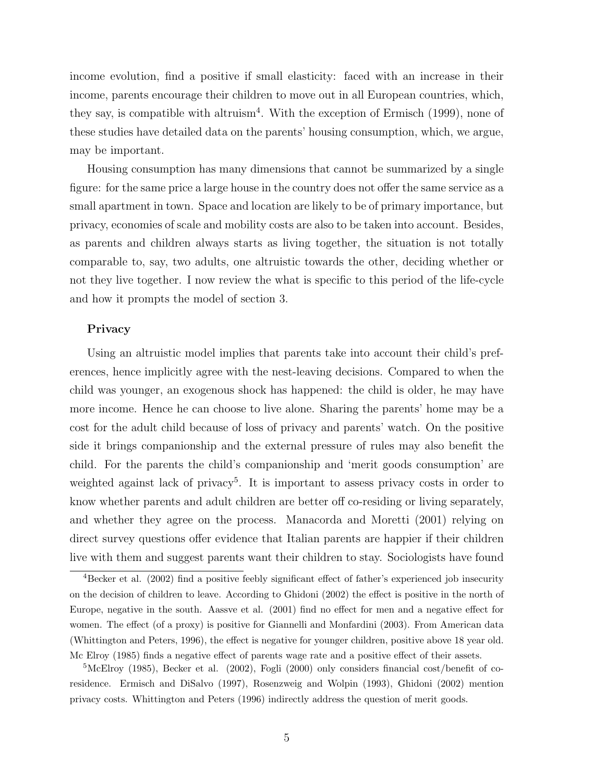income evolution, find a positive if small elasticity: faced with an increase in their income, parents encourage their children to move out in all European countries, which, they say, is compatible with altruism<sup>4</sup>. With the exception of Ermisch (1999), none of these studies have detailed data on the parents' housing consumption, which, we argue, may be important.

Housing consumption has many dimensions that cannot be summarized by a single figure: for the same price a large house in the country does not offer the same service as a small apartment in town. Space and location are likely to be of primary importance, but privacy, economies of scale and mobility costs are also to be taken into account. Besides, as parents and children always starts as living together, the situation is not totally comparable to, say, two adults, one altruistic towards the other, deciding whether or not they live together. I now review the what is specific to this period of the life-cycle and how it prompts the model of section 3.

#### Privacy

Using an altruistic model implies that parents take into account their child's preferences, hence implicitly agree with the nest-leaving decisions. Compared to when the child was younger, an exogenous shock has happened: the child is older, he may have more income. Hence he can choose to live alone. Sharing the parents' home may be a cost for the adult child because of loss of privacy and parents' watch. On the positive side it brings companionship and the external pressure of rules may also benefit the child. For the parents the child's companionship and 'merit goods consumption' are weighted against lack of privacy<sup>5</sup>. It is important to assess privacy costs in order to know whether parents and adult children are better off co-residing or living separately, and whether they agree on the process. Manacorda and Moretti (2001) relying on direct survey questions offer evidence that Italian parents are happier if their children live with them and suggest parents want their children to stay. Sociologists have found

<sup>4</sup>Becker et al. (2002) find a positive feebly significant effect of father's experienced job insecurity on the decision of children to leave. According to Ghidoni (2002) the effect is positive in the north of Europe, negative in the south. Aassve et al. (2001) find no effect for men and a negative effect for women. The effect (of a proxy) is positive for Giannelli and Monfardini (2003). From American data (Whittington and Peters, 1996), the effect is negative for younger children, positive above 18 year old. Mc Elroy (1985) finds a negative effect of parents wage rate and a positive effect of their assets.

 ${}^{5}\text{McElroy}$  (1985), Becker et al. (2002), Fogli (2000) only considers financial cost/benefit of coresidence. Ermisch and DiSalvo (1997), Rosenzweig and Wolpin (1993), Ghidoni (2002) mention privacy costs. Whittington and Peters (1996) indirectly address the question of merit goods.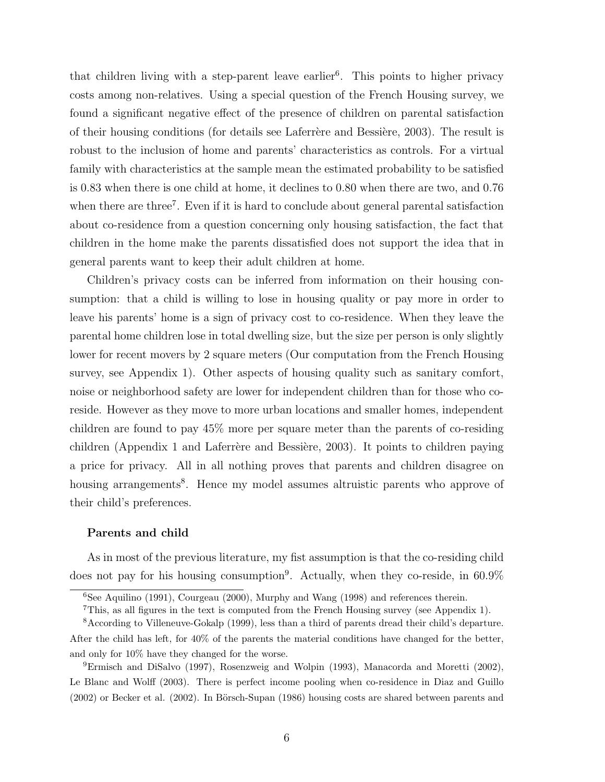that children living with a step-parent leave earlier<sup>6</sup>. This points to higher privacy costs among non-relatives. Using a special question of the French Housing survey, we found a significant negative effect of the presence of children on parental satisfaction of their housing conditions (for details see Laferrère and Bessière, 2003). The result is robust to the inclusion of home and parents' characteristics as controls. For a virtual family with characteristics at the sample mean the estimated probability to be satisfied is 0.83 when there is one child at home, it declines to 0.80 when there are two, and 0.76 when there are three<sup>7</sup>. Even if it is hard to conclude about general parental satisfaction about co-residence from a question concerning only housing satisfaction, the fact that children in the home make the parents dissatisfied does not support the idea that in general parents want to keep their adult children at home.

Children's privacy costs can be inferred from information on their housing consumption: that a child is willing to lose in housing quality or pay more in order to leave his parents' home is a sign of privacy cost to co-residence. When they leave the parental home children lose in total dwelling size, but the size per person is only slightly lower for recent movers by 2 square meters (Our computation from the French Housing survey, see Appendix 1). Other aspects of housing quality such as sanitary comfort, noise or neighborhood safety are lower for independent children than for those who coreside. However as they move to more urban locations and smaller homes, independent children are found to pay 45% more per square meter than the parents of co-residing children (Appendix 1 and Laferrère and Bessière, 2003). It points to children paying a price for privacy. All in all nothing proves that parents and children disagree on housing arrangements<sup>8</sup>. Hence my model assumes altruistic parents who approve of their child's preferences.

#### Parents and child

As in most of the previous literature, my fist assumption is that the co-residing child does not pay for his housing consumption<sup>9</sup>. Actually, when they co-reside, in 60.9%

 $6$ See Aquilino (1991), Courgeau (2000), Murphy and Wang (1998) and references therein.

<sup>7</sup>This, as all figures in the text is computed from the French Housing survey (see Appendix 1).

<sup>8</sup>According to Villeneuve-Gokalp (1999), less than a third of parents dread their child's departure. After the child has left, for 40% of the parents the material conditions have changed for the better, and only for 10% have they changed for the worse.

<sup>9</sup>Ermisch and DiSalvo (1997), Rosenzweig and Wolpin (1993), Manacorda and Moretti (2002), Le Blanc and Wolff (2003). There is perfect income pooling when co-residence in Diaz and Guillo  $(2002)$  or Becker et al.  $(2002)$ . In Börsch-Supan  $(1986)$  housing costs are shared between parents and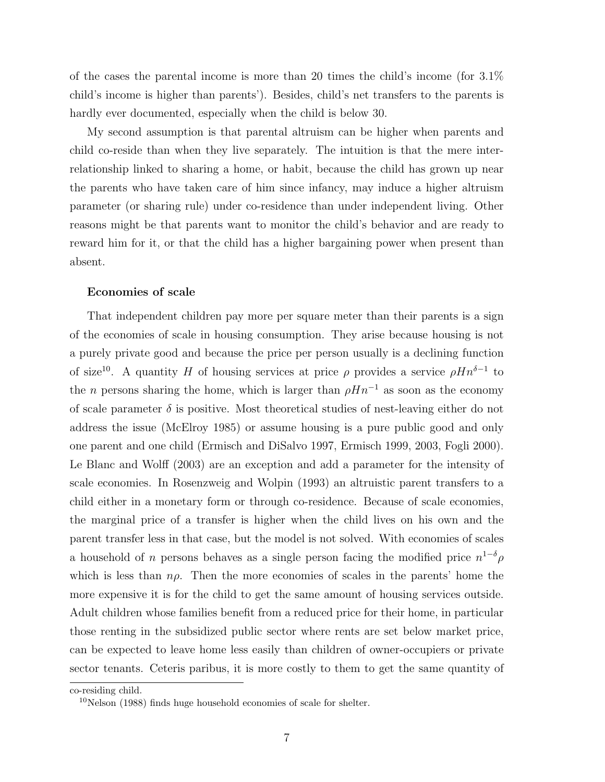of the cases the parental income is more than 20 times the child's income (for 3.1% child's income is higher than parents'). Besides, child's net transfers to the parents is hardly ever documented, especially when the child is below 30.

My second assumption is that parental altruism can be higher when parents and child co-reside than when they live separately. The intuition is that the mere interrelationship linked to sharing a home, or habit, because the child has grown up near the parents who have taken care of him since infancy, may induce a higher altruism parameter (or sharing rule) under co-residence than under independent living. Other reasons might be that parents want to monitor the child's behavior and are ready to reward him for it, or that the child has a higher bargaining power when present than absent.

#### Economies of scale

That independent children pay more per square meter than their parents is a sign of the economies of scale in housing consumption. They arise because housing is not a purely private good and because the price per person usually is a declining function of size<sup>10</sup>. A quantity H of housing services at price  $\rho$  provides a service  $\rho H n^{\delta-1}$  to the *n* persons sharing the home, which is larger than  $\rho H n^{-1}$  as soon as the economy of scale parameter  $\delta$  is positive. Most theoretical studies of nest-leaving either do not address the issue (McElroy 1985) or assume housing is a pure public good and only one parent and one child (Ermisch and DiSalvo 1997, Ermisch 1999, 2003, Fogli 2000). Le Blanc and Wolff (2003) are an exception and add a parameter for the intensity of scale economies. In Rosenzweig and Wolpin (1993) an altruistic parent transfers to a child either in a monetary form or through co-residence. Because of scale economies, the marginal price of a transfer is higher when the child lives on his own and the parent transfer less in that case, but the model is not solved. With economies of scales a household of *n* persons behaves as a single person facing the modified price  $n^{1-\delta} \rho$ which is less than  $n\rho$ . Then the more economies of scales in the parents' home the more expensive it is for the child to get the same amount of housing services outside. Adult children whose families benefit from a reduced price for their home, in particular those renting in the subsidized public sector where rents are set below market price, can be expected to leave home less easily than children of owner-occupiers or private sector tenants. Ceteris paribus, it is more costly to them to get the same quantity of

co-residing child.

 $10$ Nelson (1988) finds huge household economies of scale for shelter.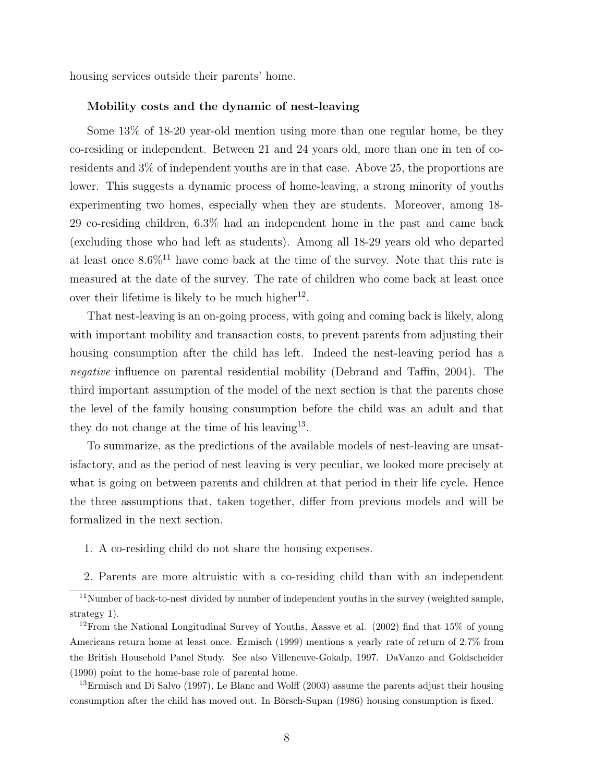housing services outside their parents' home.

#### Mobility costs and the dynamic of nest-leaving

Some 13% of 18-20 year-old mention using more than one regular home, be they co-residing or independent. Between 21 and 24 years old, more than one in ten of coresidents and 3% of independent youths are in that case. Above 25, the proportions are lower. This suggests a dynamic process of home-leaving, a strong minority of youths experimenting two homes, especially when they are students. Moreover, among 18- 29 co-residing children, 6.3% had an independent home in the past and came back (excluding those who had left as students). Among all 18-29 years old who departed at least once  $8.6\%$ <sup>11</sup> have come back at the time of the survey. Note that this rate is measured at the date of the survey. The rate of children who come back at least once over their lifetime is likely to be much higher<sup>12</sup>.

That nest-leaving is an on-going process, with going and coming back is likely, along with important mobility and transaction costs, to prevent parents from adjusting their housing consumption after the child has left. Indeed the nest-leaving period has a negative influence on parental residential mobility (Debrand and Taffin, 2004). The third important assumption of the model of the next section is that the parents chose the level of the family housing consumption before the child was an adult and that they do not change at the time of his leaving<sup>13</sup>.

To summarize, as the predictions of the available models of nest-leaving are unsatisfactory, and as the period of nest leaving is very peculiar, we looked more precisely at what is going on between parents and children at that period in their life cycle. Hence the three assumptions that, taken together, differ from previous models and will be formalized in the next section.

- 1. A co-residing child do not share the housing expenses.
- 2. Parents are more altruistic with a co-residing child than with an independent

<sup>&</sup>lt;sup>11</sup>Number of back-to-nest divided by number of independent youths in the survey (weighted sample, strategy 1).

 $12$ From the National Longitudinal Survey of Youths, Aassve et al. (2002) find that 15% of young Americans return home at least once. Ermisch (1999) mentions a yearly rate of return of 2.7% from the British Household Panel Study. See also Villeneuve-Gokalp, 1997. DaVanzo and Goldscheider (1990) point to the home-base role of parental home.

<sup>&</sup>lt;sup>13</sup>Ermisch and Di Salvo (1997), Le Blanc and Wolff (2003) assume the parents adjust their housing consumption after the child has moved out. In Börsch-Supan (1986) housing consumption is fixed.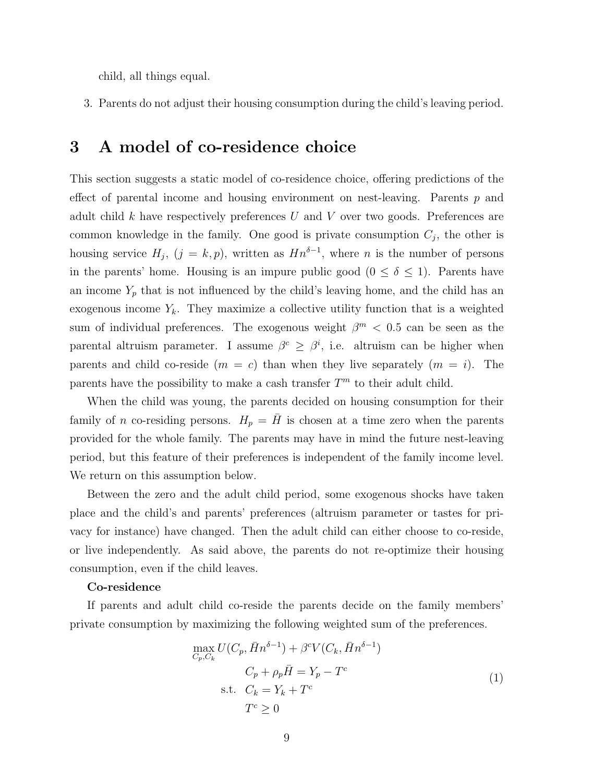child, all things equal.

3. Parents do not adjust their housing consumption during the child's leaving period.

### 3 A model of co-residence choice

This section suggests a static model of co-residence choice, offering predictions of the effect of parental income and housing environment on nest-leaving. Parents  $p$  and adult child  $k$  have respectively preferences  $U$  and  $V$  over two goods. Preferences are common knowledge in the family. One good is private consumption  $C_j$ , the other is housing service  $H_j$ ,  $(j = k, p)$ , written as  $Hn^{\delta-1}$ , where n is the number of persons in the parents' home. Housing is an impure public good  $(0 \le \delta \le 1)$ . Parents have an income  $Y_p$  that is not influenced by the child's leaving home, and the child has an exogenous income  $Y_k$ . They maximize a collective utility function that is a weighted sum of individual preferences. The exogenous weight  $\beta^{m} < 0.5$  can be seen as the parental altruism parameter. I assume  $\beta^c \geq \beta^i$ , i.e. altruism can be higher when parents and child co-reside  $(m = c)$  than when they live separately  $(m = i)$ . The parents have the possibility to make a cash transfer  $T<sup>m</sup>$  to their adult child.

When the child was young, the parents decided on housing consumption for their family of n co-residing persons.  $H_p = H$  is chosen at a time zero when the parents provided for the whole family. The parents may have in mind the future nest-leaving period, but this feature of their preferences is independent of the family income level. We return on this assumption below.

Between the zero and the adult child period, some exogenous shocks have taken place and the child's and parents' preferences (altruism parameter or tastes for privacy for instance) have changed. Then the adult child can either choose to co-reside, or live independently. As said above, the parents do not re-optimize their housing consumption, even if the child leaves.

#### Co-residence

If parents and adult child co-reside the parents decide on the family members' private consumption by maximizing the following weighted sum of the preferences.

$$
\max_{C_p, C_k} U(C_p, \bar{H}n^{\delta - 1}) + \beta^c V(C_k, \bar{H}n^{\delta - 1})
$$
  
\n
$$
C_p + \rho_p \bar{H} = Y_p - T^c
$$
  
\n
$$
C_k = Y_k + T^c
$$
  
\n
$$
T^c \ge 0
$$
\n(1)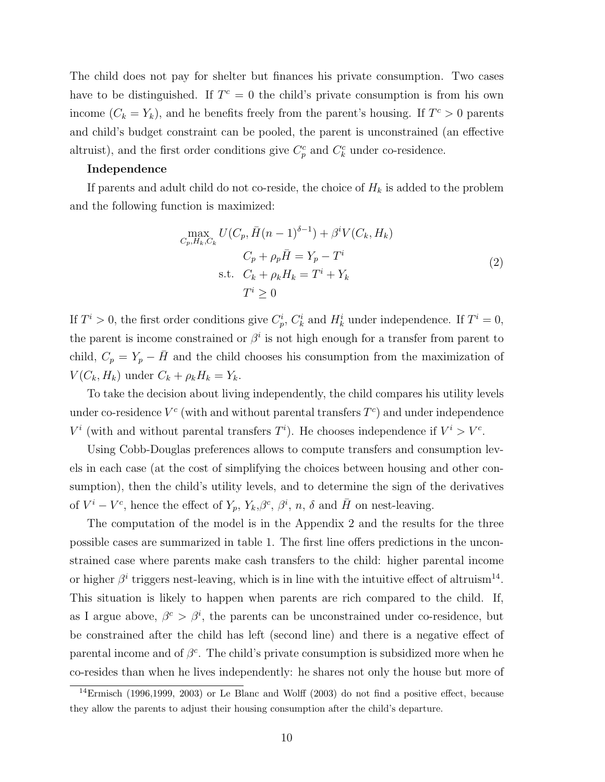The child does not pay for shelter but finances his private consumption. Two cases have to be distinguished. If  $T^c = 0$  the child's private consumption is from his own income  $(C_k = Y_k)$ , and he benefits freely from the parent's housing. If  $T^c > 0$  parents and child's budget constraint can be pooled, the parent is unconstrained (an effective altruist), and the first order conditions give  $C_p^c$  and  $C_k^c$  under co-residence.

#### Independence

If parents and adult child do not co-reside, the choice of  $H_k$  is added to the problem and the following function is maximized:

$$
\max_{C_p, H_k, C_k} U(C_p, \bar{H}(n-1)^{\delta-1}) + \beta^i V(C_k, H_k)
$$
  
\n
$$
C_p + \rho_p \bar{H} = Y_p - T^i
$$
  
\ns.t.  $C_k + \rho_k H_k = T^i + Y_k$   
\n
$$
T^i \ge 0
$$
\n(2)

If  $T^i > 0$ , the first order conditions give  $C_p^i$ ,  $C_k^i$  and  $H_k^i$  under independence. If  $T^i = 0$ , the parent is income constrained or  $\beta^i$  is not high enough for a transfer from parent to child,  $C_p = Y_p - \bar{H}$  and the child chooses his consumption from the maximization of  $V(C_k, H_k)$  under  $C_k + \rho_k H_k = Y_k$ .

To take the decision about living independently, the child compares his utility levels under co-residence  $V^c$  (with and without parental transfers  $T^c$ ) and under independence  $V^i$  (with and without parental transfers  $T^i$ ). He chooses independence if  $V^i > V^c$ .

Using Cobb-Douglas preferences allows to compute transfers and consumption levels in each case (at the cost of simplifying the choices between housing and other consumption), then the child's utility levels, and to determine the sign of the derivatives of  $V^i - V^c$ , hence the effect of  $Y_p$ ,  $Y_k$ ,  $\beta^c$ ,  $\beta^i$ , n,  $\delta$  and  $\bar{H}$  on nest-leaving.

The computation of the model is in the Appendix 2 and the results for the three possible cases are summarized in table 1. The first line offers predictions in the unconstrained case where parents make cash transfers to the child: higher parental income or higher  $\beta^i$  triggers nest-leaving, which is in line with the intuitive effect of altruism<sup>14</sup>. This situation is likely to happen when parents are rich compared to the child. If, as I argue above,  $\beta^c > \beta^i$ , the parents can be unconstrained under co-residence, but be constrained after the child has left (second line) and there is a negative effect of parental income and of  $\beta^c$ . The child's private consumption is subsidized more when he co-resides than when he lives independently: he shares not only the house but more of

 $14$ Ermisch (1996,1999, 2003) or Le Blanc and Wolff (2003) do not find a positive effect, because they allow the parents to adjust their housing consumption after the child's departure.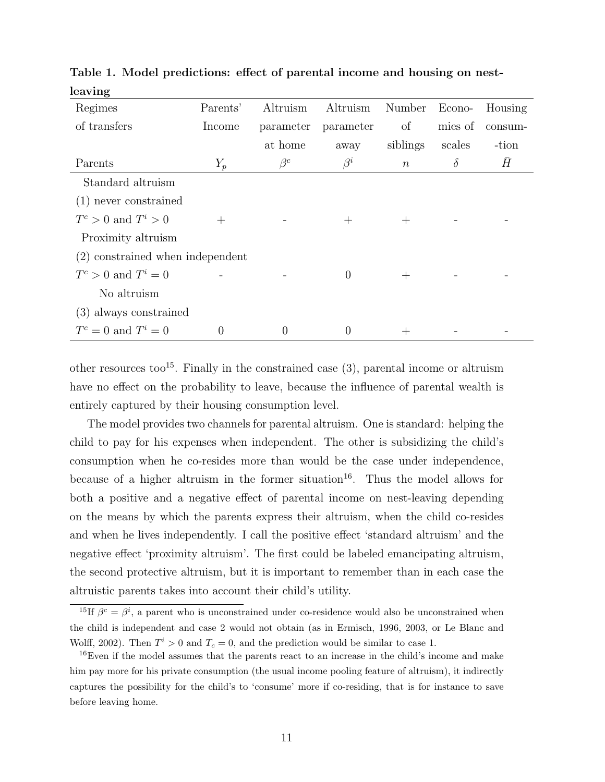| Regimes                            | Parents' | Altruism         | Altruism  | Number           | Econo-   | Housing |
|------------------------------------|----------|------------------|-----------|------------------|----------|---------|
| of transfers                       | Income   | parameter        | parameter | of               | mies of  | consum- |
|                                    |          | at home          | away      | siblings         | scales   | -tion   |
| Parents                            | $Y_p$    | $\beta^{c}$      | $\beta^i$ | $\boldsymbol{n}$ | $\delta$ | H       |
| Standard altruism                  |          |                  |           |                  |          |         |
| $(1)$ never constrained            |          |                  |           |                  |          |         |
| $T^c > 0$ and $T^i > 0$            | $^{+}$   |                  | $^+$      | $^+$             |          |         |
| Proximity altruism                 |          |                  |           |                  |          |         |
| $(2)$ constrained when independent |          |                  |           |                  |          |         |
| $T^c > 0$ and $T^i = 0$            |          |                  | $\Omega$  | $^+$             |          |         |
| No altruism                        |          |                  |           |                  |          |         |
| (3) always constrained             |          |                  |           |                  |          |         |
| $T^c = 0$ and $T^i = 0$            | 0        | $\left( \right)$ | $\theta$  | $^+$             |          |         |

Table 1. Model predictions: effect of parental income and housing on nestleaving

other resources too<sup>15</sup>. Finally in the constrained case  $(3)$ , parental income or altruism have no effect on the probability to leave, because the influence of parental wealth is entirely captured by their housing consumption level.

The model provides two channels for parental altruism. One is standard: helping the child to pay for his expenses when independent. The other is subsidizing the child's consumption when he co-resides more than would be the case under independence, because of a higher altruism in the former situation<sup>16</sup>. Thus the model allows for both a positive and a negative effect of parental income on nest-leaving depending on the means by which the parents express their altruism, when the child co-resides and when he lives independently. I call the positive effect 'standard altruism' and the negative effect 'proximity altruism'. The first could be labeled emancipating altruism, the second protective altruism, but it is important to remember than in each case the altruistic parents takes into account their child's utility.

<sup>&</sup>lt;sup>15</sup>If  $\beta^c = \beta^i$ , a parent who is unconstrained under co-residence would also be unconstrained when the child is independent and case 2 would not obtain (as in Ermisch, 1996, 2003, or Le Blanc and Wolff, 2002). Then  $T^i > 0$  and  $T_c = 0$ , and the prediction would be similar to case 1.

<sup>&</sup>lt;sup>16</sup>Even if the model assumes that the parents react to an increase in the child's income and make him pay more for his private consumption (the usual income pooling feature of altruism), it indirectly captures the possibility for the child's to 'consume' more if co-residing, that is for instance to save before leaving home.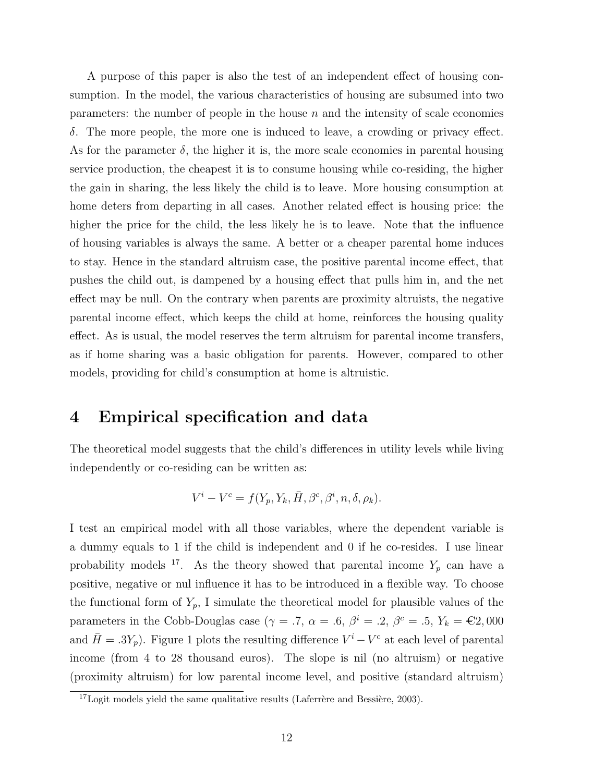A purpose of this paper is also the test of an independent effect of housing consumption. In the model, the various characteristics of housing are subsumed into two parameters: the number of people in the house  $n$  and the intensity of scale economies δ. The more people, the more one is induced to leave, a crowding or privacy effect. As for the parameter  $\delta$ , the higher it is, the more scale economies in parental housing service production, the cheapest it is to consume housing while co-residing, the higher the gain in sharing, the less likely the child is to leave. More housing consumption at home deters from departing in all cases. Another related effect is housing price: the higher the price for the child, the less likely he is to leave. Note that the influence of housing variables is always the same. A better or a cheaper parental home induces to stay. Hence in the standard altruism case, the positive parental income effect, that pushes the child out, is dampened by a housing effect that pulls him in, and the net effect may be null. On the contrary when parents are proximity altruists, the negative parental income effect, which keeps the child at home, reinforces the housing quality effect. As is usual, the model reserves the term altruism for parental income transfers, as if home sharing was a basic obligation for parents. However, compared to other models, providing for child's consumption at home is altruistic.

### 4 Empirical specification and data

The theoretical model suggests that the child's differences in utility levels while living independently or co-residing can be written as:

$$
V^{i} - V^{c} = f(Y_{p}, Y_{k}, \bar{H}, \beta^{c}, \beta^{i}, n, \delta, \rho_{k}).
$$

I test an empirical model with all those variables, where the dependent variable is a dummy equals to 1 if the child is independent and 0 if he co-resides. I use linear probability models <sup>17</sup>. As the theory showed that parental income  $Y_p$  can have a positive, negative or nul influence it has to be introduced in a flexible way. To choose the functional form of  $Y_p$ , I simulate the theoretical model for plausible values of the parameters in the Cobb-Douglas case ( $\gamma = .7$ ,  $\alpha = .6$ ,  $\beta^i = .2$ ,  $\beta^c = .5$ ,  $Y_k = \text{\textsterling}2,000$ and  $\bar{H} = .3Y_p$ ). Figure 1 plots the resulting difference  $V^i - V^c$  at each level of parental income (from 4 to 28 thousand euros). The slope is nil (no altruism) or negative (proximity altruism) for low parental income level, and positive (standard altruism)

 $17$ Logit models yield the same qualitative results (Laferrère and Bessière, 2003).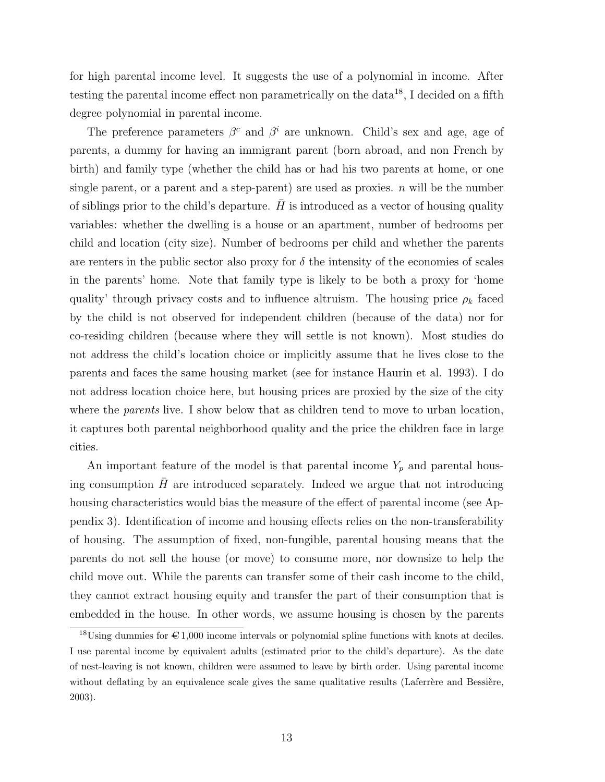for high parental income level. It suggests the use of a polynomial in income. After testing the parental income effect non parametrically on the data<sup>18</sup>, I decided on a fifth degree polynomial in parental income.

The preference parameters  $\beta^c$  and  $\beta^i$  are unknown. Child's sex and age, age of parents, a dummy for having an immigrant parent (born abroad, and non French by birth) and family type (whether the child has or had his two parents at home, or one single parent, or a parent and a step-parent) are used as proxies.  $n$  will be the number of siblings prior to the child's departure.  $H$  is introduced as a vector of housing quality variables: whether the dwelling is a house or an apartment, number of bedrooms per child and location (city size). Number of bedrooms per child and whether the parents are renters in the public sector also proxy for  $\delta$  the intensity of the economies of scales in the parents' home. Note that family type is likely to be both a proxy for 'home quality' through privacy costs and to influence altruism. The housing price  $\rho_k$  faced by the child is not observed for independent children (because of the data) nor for co-residing children (because where they will settle is not known). Most studies do not address the child's location choice or implicitly assume that he lives close to the parents and faces the same housing market (see for instance Haurin et al. 1993). I do not address location choice here, but housing prices are proxied by the size of the city where the *parents* live. I show below that as children tend to move to urban location, it captures both parental neighborhood quality and the price the children face in large cities.

An important feature of the model is that parental income  $Y_p$  and parental housing consumption  $H$  are introduced separately. Indeed we argue that not introducing housing characteristics would bias the measure of the effect of parental income (see Appendix 3). Identification of income and housing effects relies on the non-transferability of housing. The assumption of fixed, non-fungible, parental housing means that the parents do not sell the house (or move) to consume more, nor downsize to help the child move out. While the parents can transfer some of their cash income to the child, they cannot extract housing equity and transfer the part of their consumption that is embedded in the house. In other words, we assume housing is chosen by the parents

<sup>&</sup>lt;sup>18</sup>Using dummies for  $\epsilon$  1,000 income intervals or polynomial spline functions with knots at deciles. I use parental income by equivalent adults (estimated prior to the child's departure). As the date of nest-leaving is not known, children were assumed to leave by birth order. Using parental income without deflating by an equivalence scale gives the same qualitative results (Laferrère and Bessière, 2003).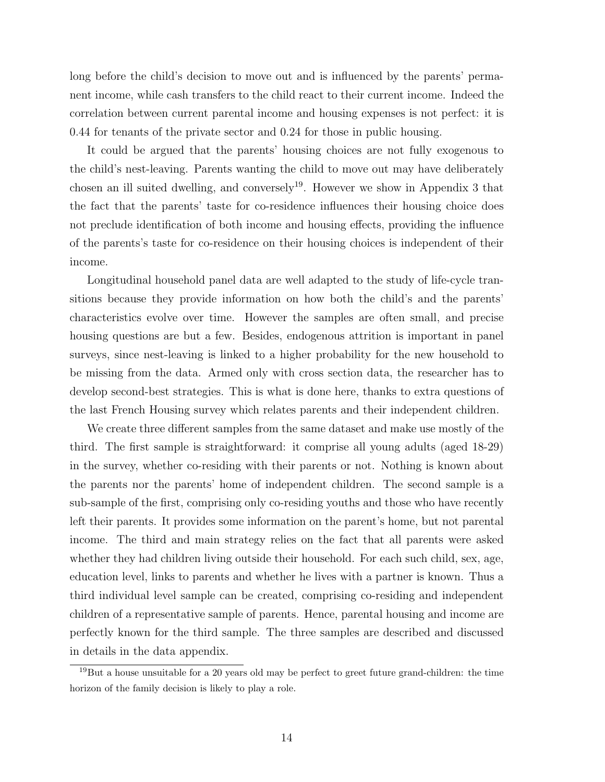long before the child's decision to move out and is influenced by the parents' permanent income, while cash transfers to the child react to their current income. Indeed the correlation between current parental income and housing expenses is not perfect: it is 0.44 for tenants of the private sector and 0.24 for those in public housing.

It could be argued that the parents' housing choices are not fully exogenous to the child's nest-leaving. Parents wanting the child to move out may have deliberately chosen an ill suited dwelling, and conversely<sup>19</sup>. However we show in Appendix 3 that the fact that the parents' taste for co-residence influences their housing choice does not preclude identification of both income and housing effects, providing the influence of the parents's taste for co-residence on their housing choices is independent of their income.

Longitudinal household panel data are well adapted to the study of life-cycle transitions because they provide information on how both the child's and the parents' characteristics evolve over time. However the samples are often small, and precise housing questions are but a few. Besides, endogenous attrition is important in panel surveys, since nest-leaving is linked to a higher probability for the new household to be missing from the data. Armed only with cross section data, the researcher has to develop second-best strategies. This is what is done here, thanks to extra questions of the last French Housing survey which relates parents and their independent children.

We create three different samples from the same dataset and make use mostly of the third. The first sample is straightforward: it comprise all young adults (aged 18-29) in the survey, whether co-residing with their parents or not. Nothing is known about the parents nor the parents' home of independent children. The second sample is a sub-sample of the first, comprising only co-residing youths and those who have recently left their parents. It provides some information on the parent's home, but not parental income. The third and main strategy relies on the fact that all parents were asked whether they had children living outside their household. For each such child, sex, age, education level, links to parents and whether he lives with a partner is known. Thus a third individual level sample can be created, comprising co-residing and independent children of a representative sample of parents. Hence, parental housing and income are perfectly known for the third sample. The three samples are described and discussed in details in the data appendix.

 $19$ But a house unsuitable for a 20 years old may be perfect to greet future grand-children: the time horizon of the family decision is likely to play a role.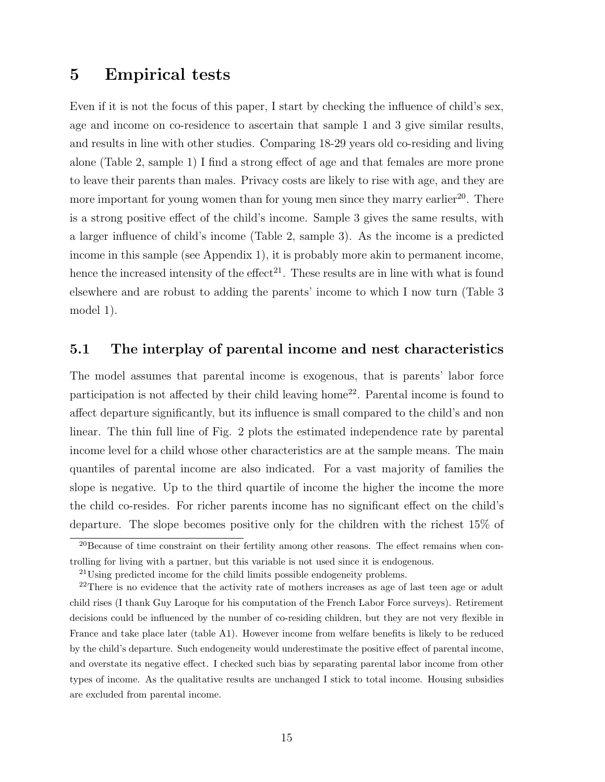### 5 Empirical tests

Even if it is not the focus of this paper, I start by checking the influence of child's sex, age and income on co-residence to ascertain that sample 1 and 3 give similar results, and results in line with other studies. Comparing 18-29 years old co-residing and living alone (Table 2, sample 1) I find a strong effect of age and that females are more prone to leave their parents than males. Privacy costs are likely to rise with age, and they are more important for young women than for young men since they marry earlier<sup>20</sup>. There is a strong positive effect of the child's income. Sample 3 gives the same results, with a larger influence of child's income (Table 2, sample 3). As the income is a predicted income in this sample (see Appendix 1), it is probably more akin to permanent income, hence the increased intensity of the effect<sup>21</sup>. These results are in line with what is found elsewhere and are robust to adding the parents' income to which I now turn (Table 3 model 1).

### 5.1 The interplay of parental income and nest characteristics

The model assumes that parental income is exogenous, that is parents' labor force participation is not affected by their child leaving home<sup>22</sup>. Parental income is found to affect departure significantly, but its influence is small compared to the child's and non linear. The thin full line of Fig. 2 plots the estimated independence rate by parental income level for a child whose other characteristics are at the sample means. The main quantiles of parental income are also indicated. For a vast majority of families the slope is negative. Up to the third quartile of income the higher the income the more the child co-resides. For richer parents income has no significant effect on the child's departure. The slope becomes positive only for the children with the richest 15% of

 $^{20}$ Because of time constraint on their fertility among other reasons. The effect remains when controlling for living with a partner, but this variable is not used since it is endogenous.

<sup>&</sup>lt;sup>21</sup>Using predicted income for the child limits possible endogeneity problems.

 $2<sup>22</sup>$ There is no evidence that the activity rate of mothers increases as age of last teen age or adult child rises (I thank Guy Laroque for his computation of the French Labor Force surveys). Retirement decisions could be influenced by the number of co-residing children, but they are not very flexible in France and take place later (table A1). However income from welfare benefits is likely to be reduced by the child's departure. Such endogeneity would underestimate the positive effect of parental income, and overstate its negative effect. I checked such bias by separating parental labor income from other types of income. As the qualitative results are unchanged I stick to total income. Housing subsidies are excluded from parental income.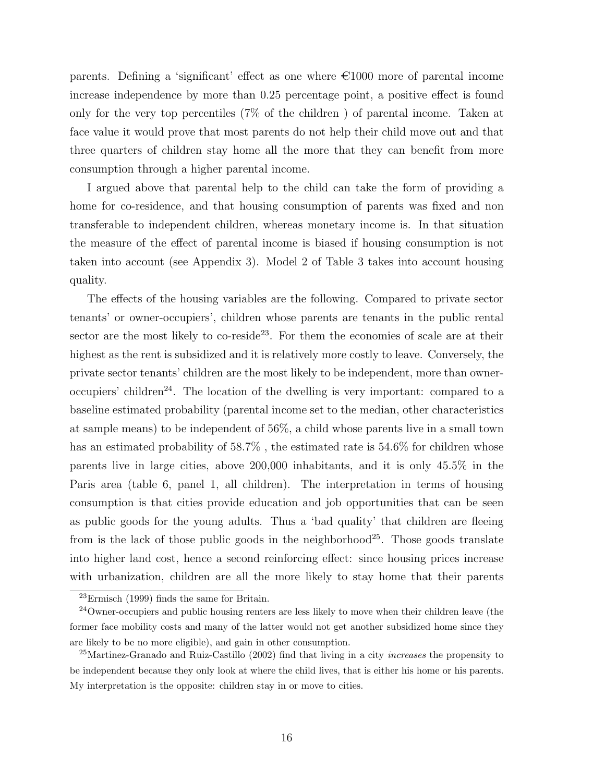parents. Defining a 'significant' effect as one where  $\epsilon$ 1000 more of parental income increase independence by more than 0.25 percentage point, a positive effect is found only for the very top percentiles (7% of the children ) of parental income. Taken at face value it would prove that most parents do not help their child move out and that three quarters of children stay home all the more that they can benefit from more consumption through a higher parental income.

I argued above that parental help to the child can take the form of providing a home for co-residence, and that housing consumption of parents was fixed and non transferable to independent children, whereas monetary income is. In that situation the measure of the effect of parental income is biased if housing consumption is not taken into account (see Appendix 3). Model 2 of Table 3 takes into account housing quality.

The effects of the housing variables are the following. Compared to private sector tenants' or owner-occupiers', children whose parents are tenants in the public rental sector are the most likely to co-reside<sup>23</sup>. For them the economies of scale are at their highest as the rent is subsidized and it is relatively more costly to leave. Conversely, the private sector tenants' children are the most likely to be independent, more than owneroccupiers' children<sup>24</sup>. The location of the dwelling is very important: compared to a baseline estimated probability (parental income set to the median, other characteristics at sample means) to be independent of 56%, a child whose parents live in a small town has an estimated probability of 58.7%, the estimated rate is 54.6% for children whose parents live in large cities, above 200,000 inhabitants, and it is only 45.5% in the Paris area (table 6, panel 1, all children). The interpretation in terms of housing consumption is that cities provide education and job opportunities that can be seen as public goods for the young adults. Thus a 'bad quality' that children are fleeing from is the lack of those public goods in the neighborhood<sup>25</sup>. Those goods translate into higher land cost, hence a second reinforcing effect: since housing prices increase with urbanization, children are all the more likely to stay home that their parents

 $23$ Ermisch (1999) finds the same for Britain.

<sup>24</sup>Owner-occupiers and public housing renters are less likely to move when their children leave (the former face mobility costs and many of the latter would not get another subsidized home since they are likely to be no more eligible), and gain in other consumption.

<sup>&</sup>lt;sup>25</sup>Martinez-Granado and Ruiz-Castillo (2002) find that living in a city *increases* the propensity to be independent because they only look at where the child lives, that is either his home or his parents. My interpretation is the opposite: children stay in or move to cities.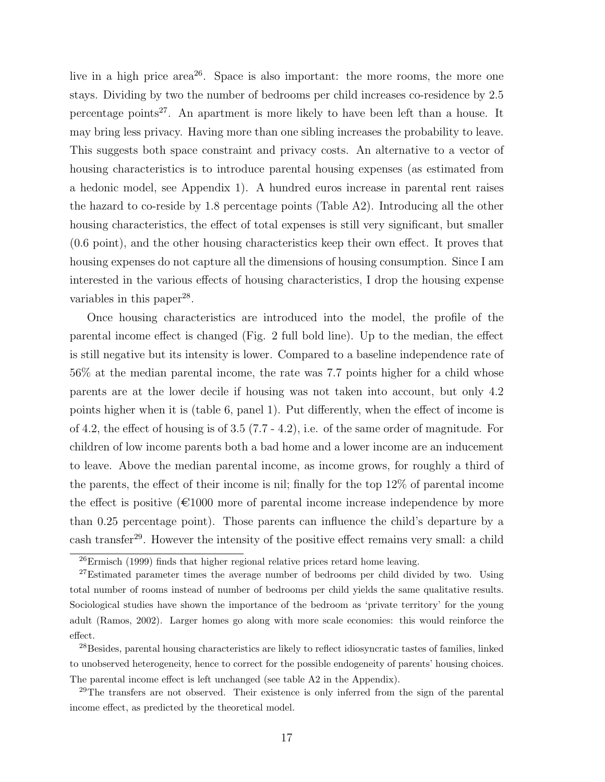live in a high price area<sup>26</sup>. Space is also important: the more rooms, the more one stays. Dividing by two the number of bedrooms per child increases co-residence by 2.5 percentage points<sup>27</sup>. An apartment is more likely to have been left than a house. It may bring less privacy. Having more than one sibling increases the probability to leave. This suggests both space constraint and privacy costs. An alternative to a vector of housing characteristics is to introduce parental housing expenses (as estimated from a hedonic model, see Appendix 1). A hundred euros increase in parental rent raises the hazard to co-reside by 1.8 percentage points (Table A2). Introducing all the other housing characteristics, the effect of total expenses is still very significant, but smaller (0.6 point), and the other housing characteristics keep their own effect. It proves that housing expenses do not capture all the dimensions of housing consumption. Since I am interested in the various effects of housing characteristics, I drop the housing expense variables in this paper<sup>28</sup>.

Once housing characteristics are introduced into the model, the profile of the parental income effect is changed (Fig. 2 full bold line). Up to the median, the effect is still negative but its intensity is lower. Compared to a baseline independence rate of 56% at the median parental income, the rate was 7.7 points higher for a child whose parents are at the lower decile if housing was not taken into account, but only 4.2 points higher when it is (table 6, panel 1). Put differently, when the effect of income is of 4.2, the effect of housing is of 3.5 (7.7 - 4.2), i.e. of the same order of magnitude. For children of low income parents both a bad home and a lower income are an inducement to leave. Above the median parental income, as income grows, for roughly a third of the parents, the effect of their income is nil; finally for the top 12% of parental income the effect is positive  $(\text{\textsterling}1000$  more of parental income increase independence by more than 0.25 percentage point). Those parents can influence the child's departure by a cash transfer<sup>29</sup>. However the intensity of the positive effect remains very small: a child

<sup>26</sup>Ermisch (1999) finds that higher regional relative prices retard home leaving.

<sup>&</sup>lt;sup>27</sup>Estimated parameter times the average number of bedrooms per child divided by two. Using total number of rooms instead of number of bedrooms per child yields the same qualitative results. Sociological studies have shown the importance of the bedroom as 'private territory' for the young adult (Ramos, 2002). Larger homes go along with more scale economies: this would reinforce the effect.

<sup>&</sup>lt;sup>28</sup>Besides, parental housing characteristics are likely to reflect idiosyncratic tastes of families, linked to unobserved heterogeneity, hence to correct for the possible endogeneity of parents' housing choices. The parental income effect is left unchanged (see table A2 in the Appendix).

<sup>&</sup>lt;sup>29</sup>The transfers are not observed. Their existence is only inferred from the sign of the parental income effect, as predicted by the theoretical model.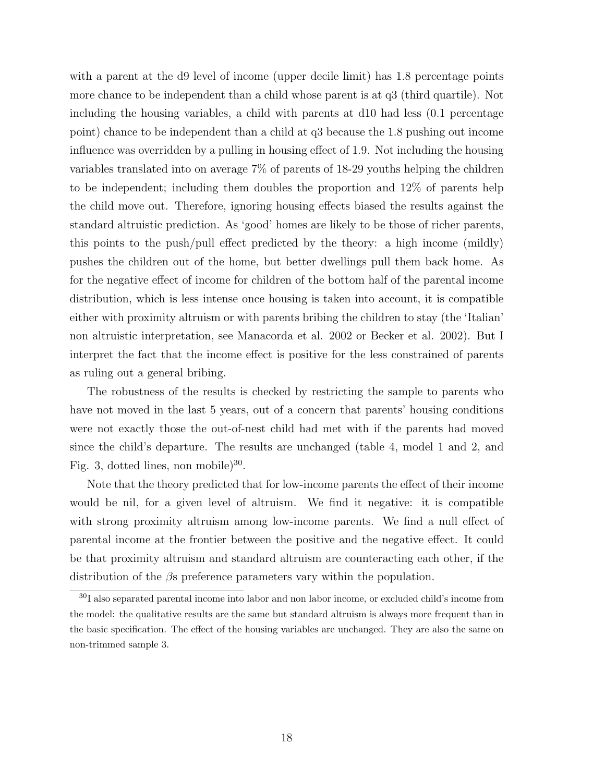with a parent at the d9 level of income (upper decile limit) has 1.8 percentage points more chance to be independent than a child whose parent is at q3 (third quartile). Not including the housing variables, a child with parents at d10 had less (0.1 percentage point) chance to be independent than a child at q3 because the 1.8 pushing out income influence was overridden by a pulling in housing effect of 1.9. Not including the housing variables translated into on average 7% of parents of 18-29 youths helping the children to be independent; including them doubles the proportion and 12% of parents help the child move out. Therefore, ignoring housing effects biased the results against the standard altruistic prediction. As 'good' homes are likely to be those of richer parents, this points to the push/pull effect predicted by the theory: a high income (mildly) pushes the children out of the home, but better dwellings pull them back home. As for the negative effect of income for children of the bottom half of the parental income distribution, which is less intense once housing is taken into account, it is compatible either with proximity altruism or with parents bribing the children to stay (the 'Italian' non altruistic interpretation, see Manacorda et al. 2002 or Becker et al. 2002). But I interpret the fact that the income effect is positive for the less constrained of parents as ruling out a general bribing.

The robustness of the results is checked by restricting the sample to parents who have not moved in the last 5 years, out of a concern that parents' housing conditions were not exactly those the out-of-nest child had met with if the parents had moved since the child's departure. The results are unchanged (table 4, model 1 and 2, and Fig. 3, dotted lines, non mobile) $^{30}$ .

Note that the theory predicted that for low-income parents the effect of their income would be nil, for a given level of altruism. We find it negative: it is compatible with strong proximity altruism among low-income parents. We find a null effect of parental income at the frontier between the positive and the negative effect. It could be that proximity altruism and standard altruism are counteracting each other, if the distribution of the  $\beta$ s preference parameters vary within the population.

<sup>30</sup>I also separated parental income into labor and non labor income, or excluded child's income from the model: the qualitative results are the same but standard altruism is always more frequent than in the basic specification. The effect of the housing variables are unchanged. They are also the same on non-trimmed sample 3.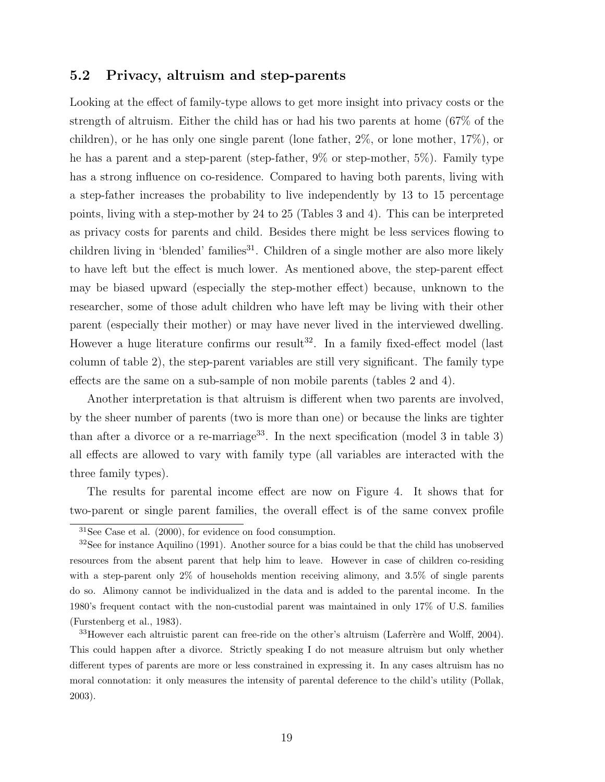### 5.2 Privacy, altruism and step-parents

Looking at the effect of family-type allows to get more insight into privacy costs or the strength of altruism. Either the child has or had his two parents at home (67% of the children), or he has only one single parent (lone father, 2%, or lone mother, 17%), or he has a parent and a step-parent (step-father, 9% or step-mother, 5%). Family type has a strong influence on co-residence. Compared to having both parents, living with a step-father increases the probability to live independently by 13 to 15 percentage points, living with a step-mother by 24 to 25 (Tables 3 and 4). This can be interpreted as privacy costs for parents and child. Besides there might be less services flowing to children living in 'blended' families<sup>31</sup>. Children of a single mother are also more likely to have left but the effect is much lower. As mentioned above, the step-parent effect may be biased upward (especially the step-mother effect) because, unknown to the researcher, some of those adult children who have left may be living with their other parent (especially their mother) or may have never lived in the interviewed dwelling. However a huge literature confirms our result<sup>32</sup>. In a family fixed-effect model (last column of table 2), the step-parent variables are still very significant. The family type effects are the same on a sub-sample of non mobile parents (tables 2 and 4).

Another interpretation is that altruism is different when two parents are involved, by the sheer number of parents (two is more than one) or because the links are tighter than after a divorce or a re-marriage<sup>33</sup>. In the next specification (model 3 in table 3) all effects are allowed to vary with family type (all variables are interacted with the three family types).

The results for parental income effect are now on Figure 4. It shows that for two-parent or single parent families, the overall effect is of the same convex profile

<sup>31</sup>See Case et al. (2000), for evidence on food consumption.

 $3^{32}$ See for instance Aquilino (1991). Another source for a bias could be that the child has unobserved resources from the absent parent that help him to leave. However in case of children co-residing with a step-parent only 2% of households mention receiving alimony, and 3.5% of single parents do so. Alimony cannot be individualized in the data and is added to the parental income. In the 1980's frequent contact with the non-custodial parent was maintained in only 17% of U.S. families (Furstenberg et al., 1983).

 $33H$ owever each altruistic parent can free-ride on the other's altruism (Laferrère and Wolff, 2004). This could happen after a divorce. Strictly speaking I do not measure altruism but only whether different types of parents are more or less constrained in expressing it. In any cases altruism has no moral connotation: it only measures the intensity of parental deference to the child's utility (Pollak, 2003).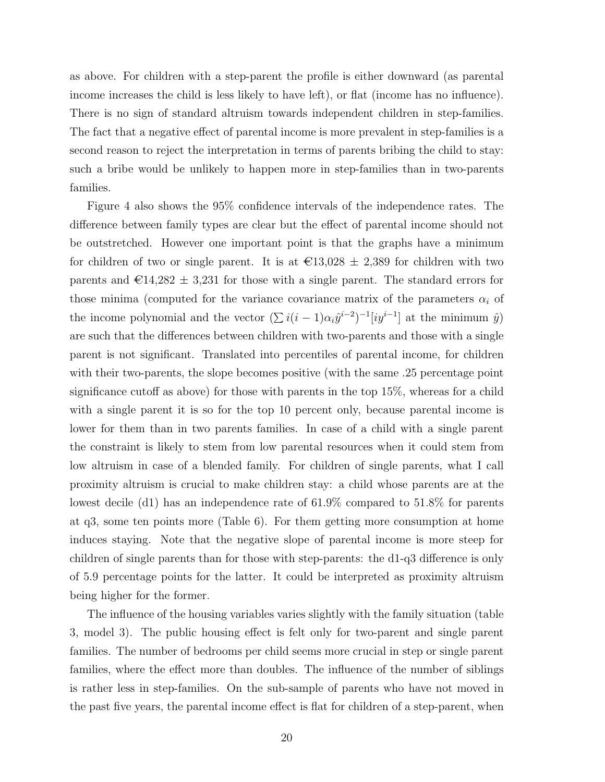as above. For children with a step-parent the profile is either downward (as parental income increases the child is less likely to have left), or flat (income has no influence). There is no sign of standard altruism towards independent children in step-families. The fact that a negative effect of parental income is more prevalent in step-families is a second reason to reject the interpretation in terms of parents bribing the child to stay: such a bribe would be unlikely to happen more in step-families than in two-parents families.

Figure 4 also shows the 95% confidence intervals of the independence rates. The difference between family types are clear but the effect of parental income should not be outstretched. However one important point is that the graphs have a minimum for children of two or single parent. It is at  $\text{\textsterling}13,028 \pm 2,389$  for children with two parents and  $\text{\textsterling}14,282 \pm 3,231$  for those with a single parent. The standard errors for those minima (computed for the variance covariance matrix of the parameters  $\alpha_i$  of the income polynomial and the vector  $(\sum i(i-1)\alpha_i\hat{y}^{i-2})^{-1}[iy^{i-1}]$  at the minimum  $\hat{y}$ ) are such that the differences between children with two-parents and those with a single parent is not significant. Translated into percentiles of parental income, for children with their two-parents, the slope becomes positive (with the same .25 percentage point significance cutoff as above) for those with parents in the top 15%, whereas for a child with a single parent it is so for the top 10 percent only, because parental income is lower for them than in two parents families. In case of a child with a single parent the constraint is likely to stem from low parental resources when it could stem from low altruism in case of a blended family. For children of single parents, what I call proximity altruism is crucial to make children stay: a child whose parents are at the lowest decile (d1) has an independence rate of 61.9% compared to 51.8% for parents at q3, some ten points more (Table 6). For them getting more consumption at home induces staying. Note that the negative slope of parental income is more steep for children of single parents than for those with step-parents: the d1-q3 difference is only of 5.9 percentage points for the latter. It could be interpreted as proximity altruism being higher for the former.

The influence of the housing variables varies slightly with the family situation (table 3, model 3). The public housing effect is felt only for two-parent and single parent families. The number of bedrooms per child seems more crucial in step or single parent families, where the effect more than doubles. The influence of the number of siblings is rather less in step-families. On the sub-sample of parents who have not moved in the past five years, the parental income effect is flat for children of a step-parent, when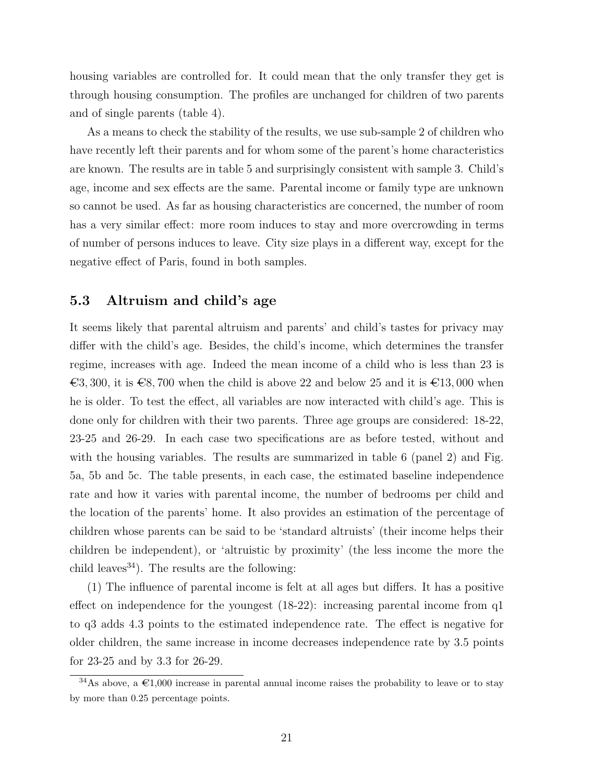housing variables are controlled for. It could mean that the only transfer they get is through housing consumption. The profiles are unchanged for children of two parents and of single parents (table 4).

As a means to check the stability of the results, we use sub-sample 2 of children who have recently left their parents and for whom some of the parent's home characteristics are known. The results are in table 5 and surprisingly consistent with sample 3. Child's age, income and sex effects are the same. Parental income or family type are unknown so cannot be used. As far as housing characteristics are concerned, the number of room has a very similar effect: more room induces to stay and more overcrowding in terms of number of persons induces to leave. City size plays in a different way, except for the negative effect of Paris, found in both samples.

### 5.3 Altruism and child's age

It seems likely that parental altruism and parents' and child's tastes for privacy may differ with the child's age. Besides, the child's income, which determines the transfer regime, increases with age. Indeed the mean income of a child who is less than 23 is  $\epsilon$ 3, 300, it is  $\epsilon$ 8, 700 when the child is above 22 and below 25 and it is  $\epsilon$ 13,000 when he is older. To test the effect, all variables are now interacted with child's age. This is done only for children with their two parents. Three age groups are considered: 18-22, 23-25 and 26-29. In each case two specifications are as before tested, without and with the housing variables. The results are summarized in table 6 (panel 2) and Fig. 5a, 5b and 5c. The table presents, in each case, the estimated baseline independence rate and how it varies with parental income, the number of bedrooms per child and the location of the parents' home. It also provides an estimation of the percentage of children whose parents can be said to be 'standard altruists' (their income helps their children be independent), or 'altruistic by proximity' (the less income the more the child leaves<sup>34</sup>). The results are the following:

(1) The influence of parental income is felt at all ages but differs. It has a positive effect on independence for the youngest (18-22): increasing parental income from q1 to q3 adds 4.3 points to the estimated independence rate. The effect is negative for older children, the same increase in income decreases independence rate by 3.5 points for 23-25 and by 3.3 for 26-29.

<sup>&</sup>lt;sup>34</sup>As above, a  $\epsilon$ 1,000 increase in parental annual income raises the probability to leave or to stay by more than 0.25 percentage points.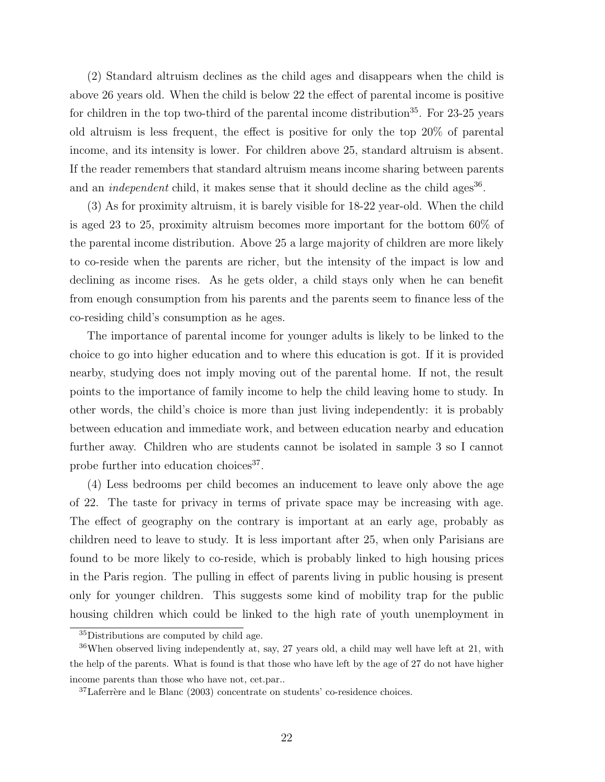(2) Standard altruism declines as the child ages and disappears when the child is above 26 years old. When the child is below 22 the effect of parental income is positive for children in the top two-third of the parental income distribution<sup>35</sup>. For  $23-25$  years old altruism is less frequent, the effect is positive for only the top 20% of parental income, and its intensity is lower. For children above 25, standard altruism is absent. If the reader remembers that standard altruism means income sharing between parents and an *independent* child, it makes sense that it should decline as the child ages<sup>36</sup>.

(3) As for proximity altruism, it is barely visible for 18-22 year-old. When the child is aged 23 to 25, proximity altruism becomes more important for the bottom 60% of the parental income distribution. Above 25 a large majority of children are more likely to co-reside when the parents are richer, but the intensity of the impact is low and declining as income rises. As he gets older, a child stays only when he can benefit from enough consumption from his parents and the parents seem to finance less of the co-residing child's consumption as he ages.

The importance of parental income for younger adults is likely to be linked to the choice to go into higher education and to where this education is got. If it is provided nearby, studying does not imply moving out of the parental home. If not, the result points to the importance of family income to help the child leaving home to study. In other words, the child's choice is more than just living independently: it is probably between education and immediate work, and between education nearby and education further away. Children who are students cannot be isolated in sample 3 so I cannot probe further into education choices<sup>37</sup>.

(4) Less bedrooms per child becomes an inducement to leave only above the age of 22. The taste for privacy in terms of private space may be increasing with age. The effect of geography on the contrary is important at an early age, probably as children need to leave to study. It is less important after 25, when only Parisians are found to be more likely to co-reside, which is probably linked to high housing prices in the Paris region. The pulling in effect of parents living in public housing is present only for younger children. This suggests some kind of mobility trap for the public housing children which could be linked to the high rate of youth unemployment in

<sup>35</sup>Distributions are computed by child age.

 $36$ When observed living independently at, say, 27 years old, a child may well have left at 21, with the help of the parents. What is found is that those who have left by the age of 27 do not have higher income parents than those who have not, cet.par..

 $37$ Laferrère and le Blanc (2003) concentrate on students' co-residence choices.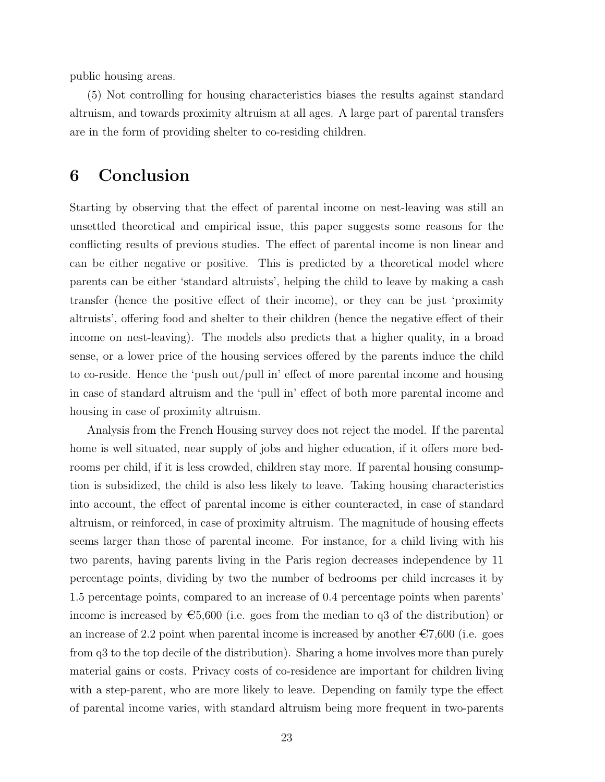public housing areas.

(5) Not controlling for housing characteristics biases the results against standard altruism, and towards proximity altruism at all ages. A large part of parental transfers are in the form of providing shelter to co-residing children.

### 6 Conclusion

Starting by observing that the effect of parental income on nest-leaving was still an unsettled theoretical and empirical issue, this paper suggests some reasons for the conflicting results of previous studies. The effect of parental income is non linear and can be either negative or positive. This is predicted by a theoretical model where parents can be either 'standard altruists', helping the child to leave by making a cash transfer (hence the positive effect of their income), or they can be just 'proximity altruists', offering food and shelter to their children (hence the negative effect of their income on nest-leaving). The models also predicts that a higher quality, in a broad sense, or a lower price of the housing services offered by the parents induce the child to co-reside. Hence the 'push out/pull in' effect of more parental income and housing in case of standard altruism and the 'pull in' effect of both more parental income and housing in case of proximity altruism.

Analysis from the French Housing survey does not reject the model. If the parental home is well situated, near supply of jobs and higher education, if it offers more bedrooms per child, if it is less crowded, children stay more. If parental housing consumption is subsidized, the child is also less likely to leave. Taking housing characteristics into account, the effect of parental income is either counteracted, in case of standard altruism, or reinforced, in case of proximity altruism. The magnitude of housing effects seems larger than those of parental income. For instance, for a child living with his two parents, having parents living in the Paris region decreases independence by 11 percentage points, dividing by two the number of bedrooms per child increases it by 1.5 percentage points, compared to an increase of 0.4 percentage points when parents' income is increased by  $\epsilon$ 5,600 (i.e. goes from the median to q3 of the distribution) or an increase of 2.2 point when parental income is increased by another  $\epsilon$ 7,600 (i.e. goes from q3 to the top decile of the distribution). Sharing a home involves more than purely material gains or costs. Privacy costs of co-residence are important for children living with a step-parent, who are more likely to leave. Depending on family type the effect of parental income varies, with standard altruism being more frequent in two-parents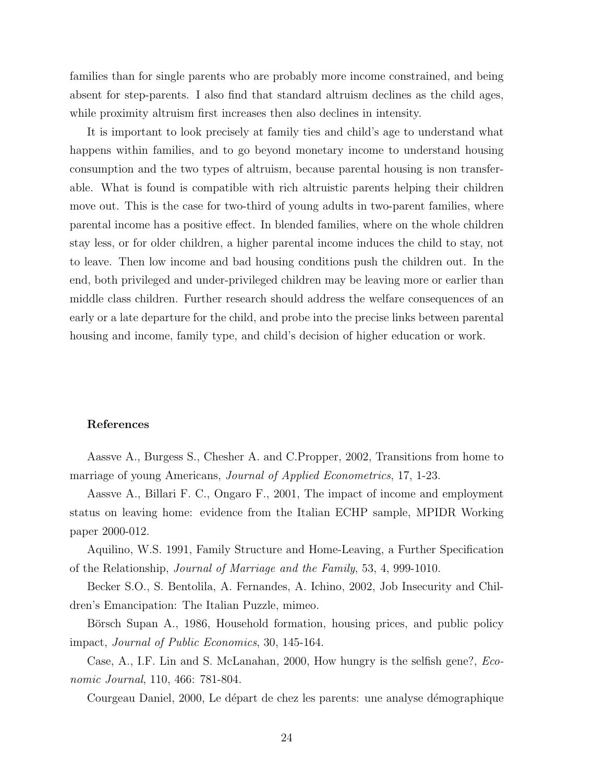families than for single parents who are probably more income constrained, and being absent for step-parents. I also find that standard altruism declines as the child ages, while proximity altruism first increases then also declines in intensity.

It is important to look precisely at family ties and child's age to understand what happens within families, and to go beyond monetary income to understand housing consumption and the two types of altruism, because parental housing is non transferable. What is found is compatible with rich altruistic parents helping their children move out. This is the case for two-third of young adults in two-parent families, where parental income has a positive effect. In blended families, where on the whole children stay less, or for older children, a higher parental income induces the child to stay, not to leave. Then low income and bad housing conditions push the children out. In the end, both privileged and under-privileged children may be leaving more or earlier than middle class children. Further research should address the welfare consequences of an early or a late departure for the child, and probe into the precise links between parental housing and income, family type, and child's decision of higher education or work.

#### References

Aassve A., Burgess S., Chesher A. and C.Propper, 2002, Transitions from home to marriage of young Americans, Journal of Applied Econometrics, 17, 1-23.

Aassve A., Billari F. C., Ongaro F., 2001, The impact of income and employment status on leaving home: evidence from the Italian ECHP sample, MPIDR Working paper 2000-012.

Aquilino, W.S. 1991, Family Structure and Home-Leaving, a Further Specification of the Relationship, Journal of Marriage and the Family, 53, 4, 999-1010.

Becker S.O., S. Bentolila, A. Fernandes, A. Ichino, 2002, Job Insecurity and Children's Emancipation: The Italian Puzzle, mimeo.

Börsch Supan A., 1986, Household formation, housing prices, and public policy impact, Journal of Public Economics, 30, 145-164.

Case, A., I.F. Lin and S. McLanahan, 2000, How hungry is the selfish gene?, Economic Journal, 110, 466: 781-804.

Courgeau Daniel, 2000, Le départ de chez les parents: une analyse démographique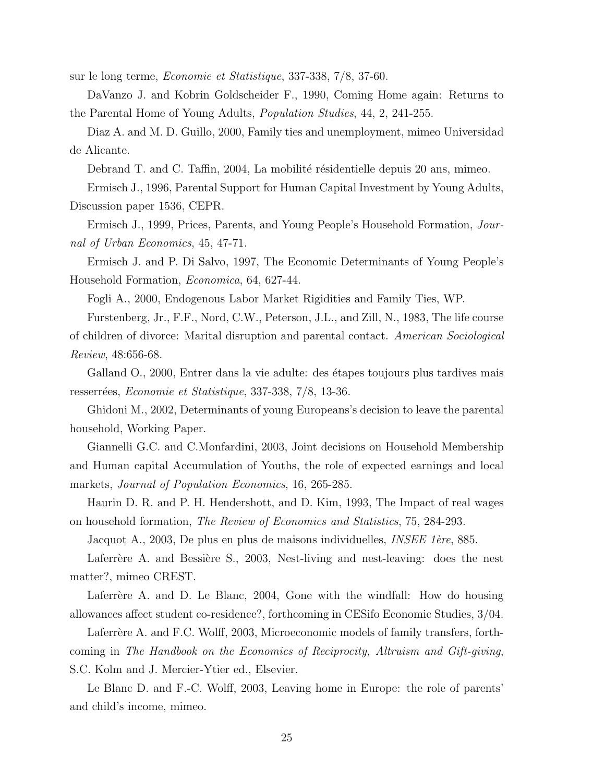sur le long terme, Economie et Statistique, 337-338, 7/8, 37-60.

DaVanzo J. and Kobrin Goldscheider F., 1990, Coming Home again: Returns to the Parental Home of Young Adults, Population Studies, 44, 2, 241-255.

Diaz A. and M. D. Guillo, 2000, Family ties and unemployment, mimeo Universidad de Alicante.

Debrand T. and C. Taffin, 2004, La mobilité résidentielle depuis 20 ans, mimeo.

Ermisch J., 1996, Parental Support for Human Capital Investment by Young Adults, Discussion paper 1536, CEPR.

Ermisch J., 1999, Prices, Parents, and Young People's Household Formation, Journal of Urban Economics, 45, 47-71.

Ermisch J. and P. Di Salvo, 1997, The Economic Determinants of Young People's Household Formation, Economica, 64, 627-44.

Fogli A., 2000, Endogenous Labor Market Rigidities and Family Ties, WP.

Furstenberg, Jr., F.F., Nord, C.W., Peterson, J.L., and Zill, N., 1983, The life course of children of divorce: Marital disruption and parental contact. American Sociological Review, 48:656-68.

Galland O., 2000, Entrer dans la vie adulte: des étapes toujours plus tardives mais resserrées, Economie et Statistique, 337-338, 7/8, 13-36.

Ghidoni M., 2002, Determinants of young Europeans's decision to leave the parental household, Working Paper.

Giannelli G.C. and C.Monfardini, 2003, Joint decisions on Household Membership and Human capital Accumulation of Youths, the role of expected earnings and local markets, Journal of Population Economics, 16, 265-285.

Haurin D. R. and P. H. Hendershott, and D. Kim, 1993, The Impact of real wages on household formation, The Review of Economics and Statistics, 75, 284-293.

Jacquot A., 2003, De plus en plus de maisons individuelles, *INSEE 1ère*, 885.

Laferrère A. and Bessière S., 2003, Nest-living and nest-leaving: does the nest matter?, mimeo CREST.

Laferrère A. and D. Le Blanc, 2004, Gone with the windfall: How do housing allowances affect student co-residence?, forthcoming in CESifo Economic Studies, 3/04.

Laferrère A. and F.C. Wolff, 2003, Microeconomic models of family transfers, forthcoming in The Handbook on the Economics of Reciprocity, Altruism and Gift-giving, S.C. Kolm and J. Mercier-Ytier ed., Elsevier.

Le Blanc D. and F.-C. Wolff, 2003, Leaving home in Europe: the role of parents' and child's income, mimeo.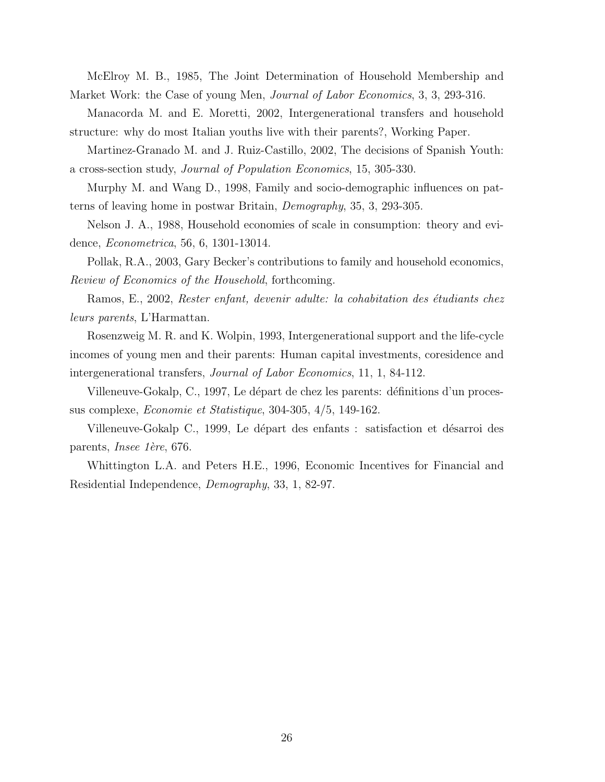McElroy M. B., 1985, The Joint Determination of Household Membership and Market Work: the Case of young Men, *Journal of Labor Economics*, 3, 3, 293-316.

Manacorda M. and E. Moretti, 2002, Intergenerational transfers and household structure: why do most Italian youths live with their parents?, Working Paper.

Martinez-Granado M. and J. Ruiz-Castillo, 2002, The decisions of Spanish Youth: a cross-section study, Journal of Population Economics, 15, 305-330.

Murphy M. and Wang D., 1998, Family and socio-demographic influences on patterns of leaving home in postwar Britain, Demography, 35, 3, 293-305.

Nelson J. A., 1988, Household economies of scale in consumption: theory and evidence, Econometrica, 56, 6, 1301-13014.

Pollak, R.A., 2003, Gary Becker's contributions to family and household economics, Review of Economics of the Household, forthcoming.

Ramos, E., 2002, Rester enfant, devenir adulte: la cohabitation des étudiants chez leurs parents, L'Harmattan.

Rosenzweig M. R. and K. Wolpin, 1993, Intergenerational support and the life-cycle incomes of young men and their parents: Human capital investments, coresidence and intergenerational transfers, Journal of Labor Economics, 11, 1, 84-112.

Villeneuve-Gokalp, C., 1997, Le départ de chez les parents: définitions d'un processus complexe, Economie et Statistique, 304-305, 4/5, 149-162.

Villeneuve-Gokalp C., 1999, Le départ des enfants : satisfaction et désarroi des parents, *Insee 1ère*, 676.

Whittington L.A. and Peters H.E., 1996, Economic Incentives for Financial and Residential Independence, Demography, 33, 1, 82-97.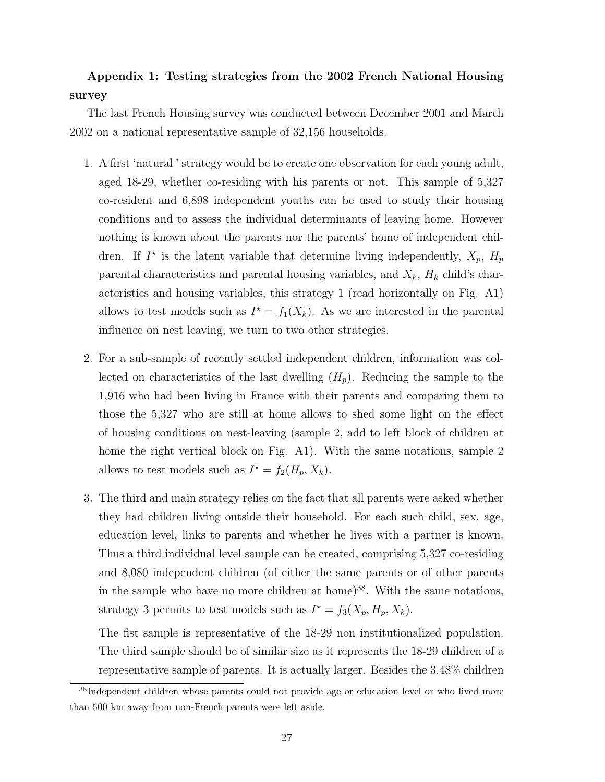### Appendix 1: Testing strategies from the 2002 French National Housing survey

The last French Housing survey was conducted between December 2001 and March 2002 on a national representative sample of 32,156 households.

- 1. A first 'natural ' strategy would be to create one observation for each young adult, aged 18-29, whether co-residing with his parents or not. This sample of 5,327 co-resident and 6,898 independent youths can be used to study their housing conditions and to assess the individual determinants of leaving home. However nothing is known about the parents nor the parents' home of independent children. If  $I^*$  is the latent variable that determine living independently,  $X_p$ ,  $H_p$ parental characteristics and parental housing variables, and  $X_k$ ,  $H_k$  child's characteristics and housing variables, this strategy 1 (read horizontally on Fig. A1) allows to test models such as  $I^* = f_1(X_k)$ . As we are interested in the parental influence on nest leaving, we turn to two other strategies.
- 2. For a sub-sample of recently settled independent children, information was collected on characteristics of the last dwelling  $(H_p)$ . Reducing the sample to the 1,916 who had been living in France with their parents and comparing them to those the 5,327 who are still at home allows to shed some light on the effect of housing conditions on nest-leaving (sample 2, add to left block of children at home the right vertical block on Fig. A1). With the same notations, sample 2 allows to test models such as  $I^* = f_2(H_p, X_k)$ .
- 3. The third and main strategy relies on the fact that all parents were asked whether they had children living outside their household. For each such child, sex, age, education level, links to parents and whether he lives with a partner is known. Thus a third individual level sample can be created, comprising 5,327 co-residing and 8,080 independent children (of either the same parents or of other parents in the sample who have no more children at home)<sup>38</sup>. With the same notations, strategy 3 permits to test models such as  $I^* = f_3(X_p, H_p, X_k)$ .

The fist sample is representative of the 18-29 non institutionalized population. The third sample should be of similar size as it represents the 18-29 children of a representative sample of parents. It is actually larger. Besides the 3.48% children

<sup>&</sup>lt;sup>38</sup>Independent children whose parents could not provide age or education level or who lived more than 500 km away from non-French parents were left aside.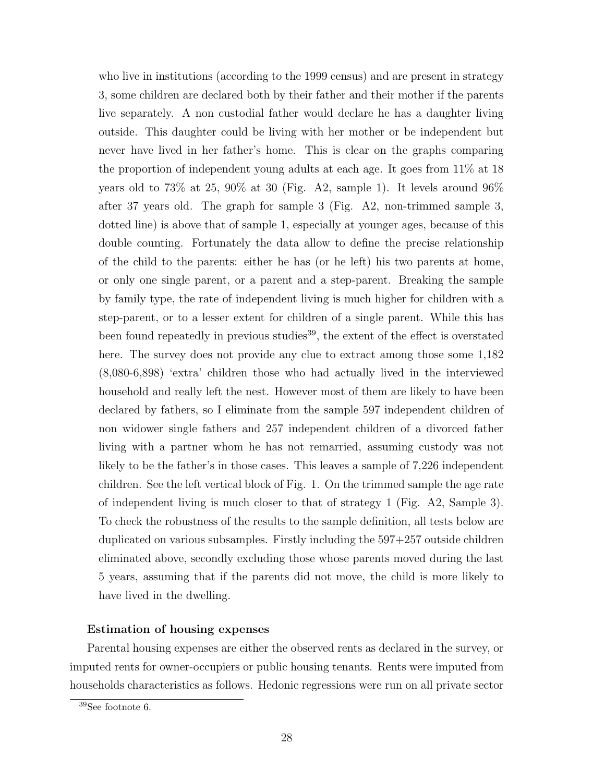who live in institutions (according to the 1999 census) and are present in strategy 3, some children are declared both by their father and their mother if the parents live separately. A non custodial father would declare he has a daughter living outside. This daughter could be living with her mother or be independent but never have lived in her father's home. This is clear on the graphs comparing the proportion of independent young adults at each age. It goes from 11% at 18 years old to  $73\%$  at  $25, 90\%$  at 30 (Fig. A2, sample 1). It levels around  $96\%$ after 37 years old. The graph for sample 3 (Fig. A2, non-trimmed sample 3, dotted line) is above that of sample 1, especially at younger ages, because of this double counting. Fortunately the data allow to define the precise relationship of the child to the parents: either he has (or he left) his two parents at home, or only one single parent, or a parent and a step-parent. Breaking the sample by family type, the rate of independent living is much higher for children with a step-parent, or to a lesser extent for children of a single parent. While this has been found repeatedly in previous studies<sup>39</sup>, the extent of the effect is overstated here. The survey does not provide any clue to extract among those some  $1,182$ (8,080-6,898) 'extra' children those who had actually lived in the interviewed household and really left the nest. However most of them are likely to have been declared by fathers, so I eliminate from the sample 597 independent children of non widower single fathers and 257 independent children of a divorced father living with a partner whom he has not remarried, assuming custody was not likely to be the father's in those cases. This leaves a sample of 7,226 independent children. See the left vertical block of Fig. 1. On the trimmed sample the age rate of independent living is much closer to that of strategy 1 (Fig. A2, Sample 3). To check the robustness of the results to the sample definition, all tests below are duplicated on various subsamples. Firstly including the 597+257 outside children eliminated above, secondly excluding those whose parents moved during the last 5 years, assuming that if the parents did not move, the child is more likely to have lived in the dwelling.

### Estimation of housing expenses

Parental housing expenses are either the observed rents as declared in the survey, or imputed rents for owner-occupiers or public housing tenants. Rents were imputed from households characteristics as follows. Hedonic regressions were run on all private sector

<sup>39</sup>See footnote 6.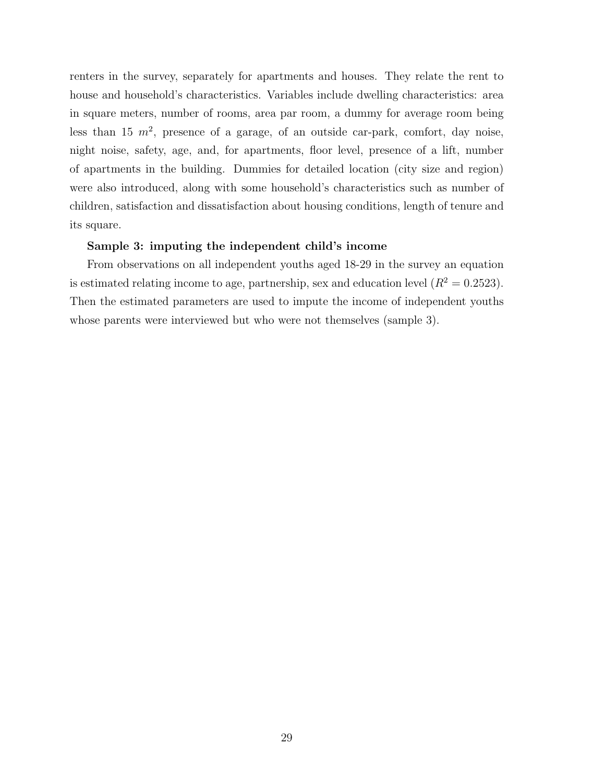renters in the survey, separately for apartments and houses. They relate the rent to house and household's characteristics. Variables include dwelling characteristics: area in square meters, number of rooms, area par room, a dummy for average room being less than 15  $m^2$ , presence of a garage, of an outside car-park, comfort, day noise, night noise, safety, age, and, for apartments, floor level, presence of a lift, number of apartments in the building. Dummies for detailed location (city size and region) were also introduced, along with some household's characteristics such as number of children, satisfaction and dissatisfaction about housing conditions, length of tenure and its square.

#### Sample 3: imputing the independent child's income

From observations on all independent youths aged 18-29 in the survey an equation is estimated relating income to age, partnership, sex and education level  $(R^2 = 0.2523)$ . Then the estimated parameters are used to impute the income of independent youths whose parents were interviewed but who were not themselves (sample 3).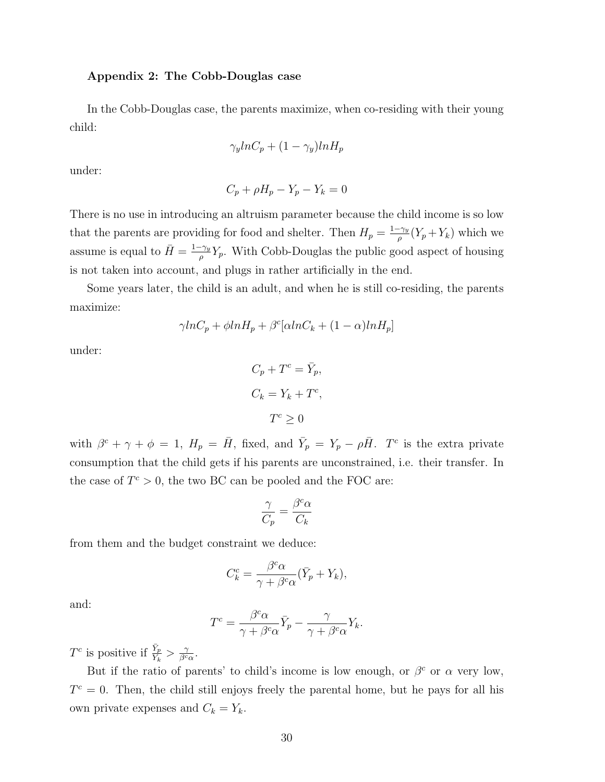### Appendix 2: The Cobb-Douglas case

In the Cobb-Douglas case, the parents maximize, when co-residing with their young child:

$$
\gamma_y ln C_p + (1 - \gamma_y) ln H_p
$$

under:

$$
C_p + \rho H_p - Y_p - Y_k = 0
$$

There is no use in introducing an altruism parameter because the child income is so low that the parents are providing for food and shelter. Then  $H_p = \frac{1-\gamma_y}{\rho}$  $\frac{f\gamma_y}{\rho}(Y_p+Y_k)$  which we assume is equal to  $\bar{H} = \frac{1-\gamma_y}{g}$  $\frac{\gamma_y}{\rho} Y_p$ . With Cobb-Douglas the public good aspect of housing is not taken into account, and plugs in rather artificially in the end.

Some years later, the child is an adult, and when he is still co-residing, the parents maximize:

$$
\gamma ln C_p + \phi ln H_p + \beta^c [ \alpha ln C_k + (1 - \alpha) ln H_p ]
$$

under:

$$
C_p + T^c = \bar{Y}_p,
$$
  
\n
$$
C_k = Y_k + T^c,
$$
  
\n
$$
T^c \ge 0
$$

with  $\beta^c + \gamma + \phi = 1$ ,  $H_p = \bar{H}$ , fixed, and  $\bar{Y}_p = Y_p - \rho \bar{H}$ . T<sup>c</sup> is the extra private consumption that the child gets if his parents are unconstrained, i.e. their transfer. In the case of  $T^c > 0$ , the two BC can be pooled and the FOC are:

$$
\frac{\gamma}{C_p}=\frac{\beta^c\alpha}{C_k}
$$

from them and the budget constraint we deduce:

$$
C_k^c = \frac{\beta^c \alpha}{\gamma + \beta^c \alpha} (\bar{Y}_p + Y_k),
$$

and:

$$
T^{c} = \frac{\beta^{c} \alpha}{\gamma + \beta^{c} \alpha} \bar{Y}_{p} - \frac{\gamma}{\gamma + \beta^{c} \alpha} Y_{k}.
$$

 $T^c$  is positive if  $\frac{\bar{Y}_p}{Y_k} > \frac{\gamma}{\beta^c}$  $\frac{\gamma}{\beta^c\alpha}$ .

But if the ratio of parents' to child's income is low enough, or  $\beta^c$  or  $\alpha$  very low,  $T<sup>c</sup> = 0$ . Then, the child still enjoys freely the parental home, but he pays for all his own private expenses and  $C_k = Y_k$ .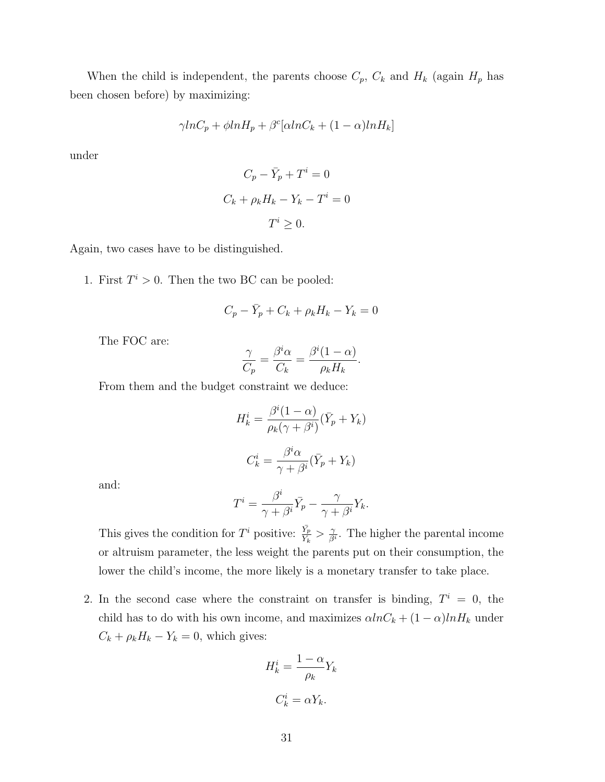When the child is independent, the parents choose  $C_p$ ,  $C_k$  and  $H_k$  (again  $H_p$  has been chosen before) by maximizing:

$$
\gamma ln C_p + \phi ln H_p + \beta^c [\alpha ln C_k + (1 - \alpha) ln H_k]
$$

under

$$
C_p - \bar{Y}_p + T^i = 0
$$
  

$$
C_k + \rho_k H_k - Y_k - T^i = 0
$$
  

$$
T^i \ge 0.
$$

Again, two cases have to be distinguished.

1. First  $T^i > 0$ . Then the two BC can be pooled:

$$
C_p - \bar{Y}_p + C_k + \rho_k H_k - Y_k = 0
$$

The FOC are:

$$
\frac{\gamma}{C_p} = \frac{\beta^i \alpha}{C_k} = \frac{\beta^i (1 - \alpha)}{\rho_k H_k}.
$$

From them and the budget constraint we deduce:

$$
H_k^i = \frac{\beta^i (1 - \alpha)}{\rho_k (\gamma + \beta^i)} (\bar{Y}_p + Y_k)
$$

$$
C_k^i = \frac{\beta^i \alpha}{\gamma + \beta^i} (\bar{Y}_p + Y_k)
$$

and:

$$
T^{i} = \frac{\beta^{i}}{\gamma + \beta^{i}} \bar{Y}_{p} - \frac{\gamma}{\gamma + \beta^{i}} Y_{k}.
$$

This gives the condition for  $T^i$  positive:  $\frac{\bar{Y}_p}{Y_k} > \frac{\gamma}{\beta}$  $\frac{\gamma}{\beta^i}$ . The higher the parental income or altruism parameter, the less weight the parents put on their consumption, the lower the child's income, the more likely is a monetary transfer to take place.

2. In the second case where the constraint on transfer is binding,  $T^i = 0$ , the child has to do with his own income, and maximizes  $\alpha ln C_k + (1 - \alpha) ln H_k$  under  $C_k + \rho_k H_k - Y_k = 0$ , which gives:

$$
H_k^i = \frac{1 - \alpha}{\rho_k} Y_k
$$

$$
C_k^i = \alpha Y_k.
$$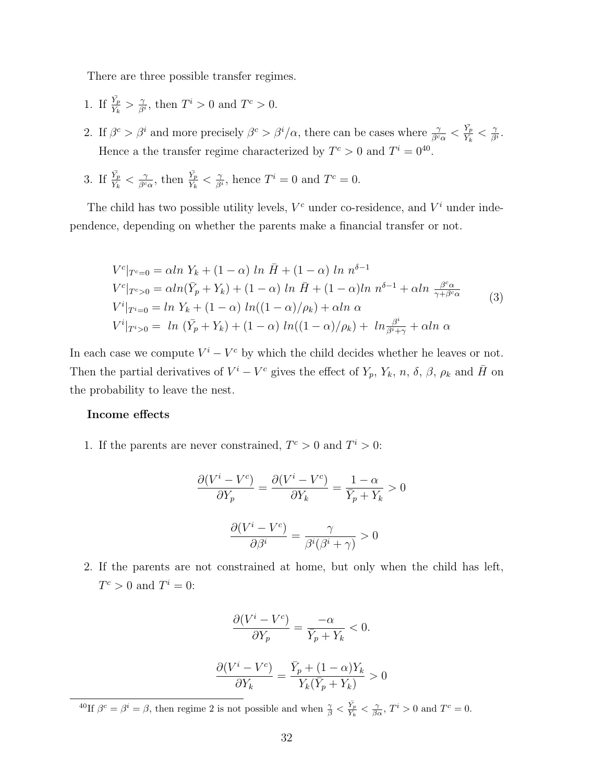There are three possible transfer regimes.

- 1. If  $\frac{\bar{Y}_p}{Y_k} > \frac{\gamma}{\beta}$  $\frac{\gamma}{\beta^i}$ , then  $T^i > 0$  and  $T^c > 0$ .
- 2. If  $\beta^c > \beta^i$  and more precisely  $\beta^c > \beta^i/\alpha$ , there can be cases where  $\frac{\gamma}{\beta^c \alpha} < \frac{\bar{Y}_p}{Y_k}$  $\frac{Y_p}{Y_k}<\frac{\gamma}{\beta^2}$  $\frac{\gamma}{\beta^i}$  . Hence a the transfer regime characterized by  $T^c > 0$  and  $T^i = 0^{40}$ .
- 3. If  $\frac{\bar{Y}_p}{Y_k} < \frac{\gamma}{\beta^c}$  $\frac{\gamma}{\beta^c \alpha}$ , then  $\frac{\bar{Y_p}}{Y_k} < \frac{\gamma}{\beta^c}$  $\frac{\gamma}{\beta^i}$ , hence  $T^i = 0$  and  $T^c = 0$ .

The child has two possible utility levels,  $V^c$  under co-residence, and  $V^i$  under independence, depending on whether the parents make a financial transfer or not.

$$
V^{c}|_{T^{c}=0} = \alpha ln Y_{k} + (1 - \alpha) ln \bar{H} + (1 - \alpha) ln n^{\delta-1}
$$
  
\n
$$
V^{c}|_{T^{c}>0} = \alpha ln(\bar{Y}_{p} + Y_{k}) + (1 - \alpha) ln \bar{H} + (1 - \alpha) ln n^{\delta-1} + \alpha ln \frac{\beta^{c} \alpha}{\gamma + \beta^{c} \alpha}
$$
  
\n
$$
V^{i}|_{T^{i}=0} = ln Y_{k} + (1 - \alpha) ln((1 - \alpha)/\rho_{k}) + \alpha ln \alpha
$$
  
\n
$$
V^{i}|_{T^{i}>0} = ln (\bar{Y}_{p} + Y_{k}) + (1 - \alpha) ln((1 - \alpha)/\rho_{k}) + ln \frac{\beta^{i}}{\beta^{i} + \gamma} + \alpha ln \alpha
$$
\n(3)

In each case we compute  $V^i - V^c$  by which the child decides whether he leaves or not. Then the partial derivatives of  $V^i - V^c$  gives the effect of  $Y_p$ ,  $Y_k$ ,  $n$ ,  $\delta$ ,  $\beta$ ,  $\rho_k$  and  $\bar{H}$  on the probability to leave the nest.

#### Income effects

1. If the parents are never constrained,  $T^c > 0$  and  $T^i > 0$ :

$$
\frac{\partial (V^i - V^c)}{\partial Y_p} = \frac{\partial (V^i - V^c)}{\partial Y_k} = \frac{1 - \alpha}{\bar{Y}_p + Y_k} > 0
$$

$$
\frac{\partial (V^i - V^c)}{\partial \beta^i} = \frac{\gamma}{\beta^i (\beta^i + \gamma)} > 0
$$

2. If the parents are not constrained at home, but only when the child has left,  $T^c > 0$  and  $T^i = 0$ :

$$
\frac{\partial (V^i - V^c)}{\partial Y_p} = \frac{-\alpha}{\overline{Y}_p + Y_k} < 0.
$$
\n
$$
\frac{\partial (V^i - V^c)}{\partial Y_p} = \frac{\overline{Y}_p + (1 - \alpha)Y_k}{\overline{Y}_p + (1 - \alpha)Y_k} > 0
$$

 $\overline{Y_k(\bar{Y}_p + Y_k)}$ 

 $\partial Y_k$ 

<sup>&</sup>lt;sup>40</sup>If  $\beta^c = \beta^i = \beta$ , then regime 2 is not possible and when  $\frac{\gamma}{\beta} < \frac{\bar{Y}_p}{Y_k}$  $\frac{Y_p}{Y_k} < \frac{\gamma}{\beta \alpha}, T^i > 0$  and  $T^c = 0$ .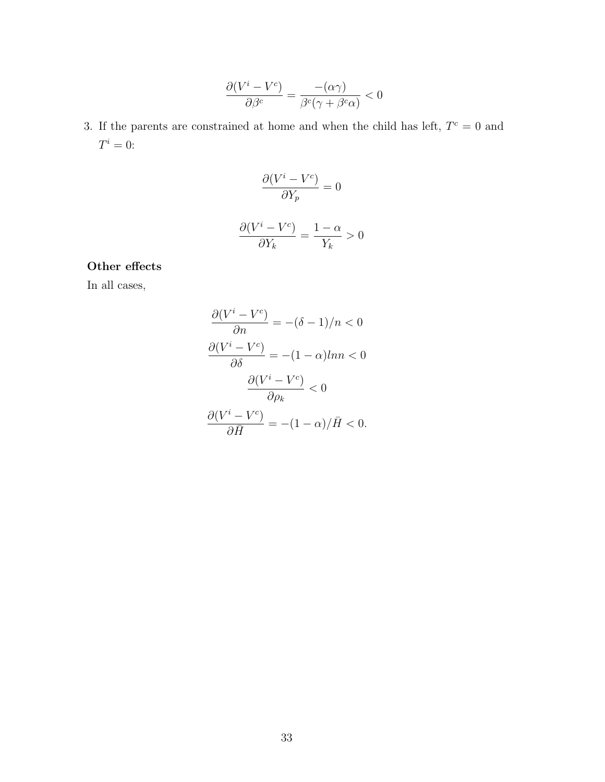$$
\frac{\partial (V^i - V^c)}{\partial \beta^c} = \frac{-(\alpha \gamma)}{\beta^c (\gamma + \beta^c \alpha)} < 0
$$

3. If the parents are constrained at home and when the child has left,  $T<sup>c</sup> = 0$  and  $T^i=0$ :

$$
\frac{\partial (V^i - V^c)}{\partial Y_p} = 0
$$

$$
\frac{\partial (V^i - V^c)}{\partial Y_k} = \frac{1 - \alpha}{Y_k} > 0
$$

### Other effects

In all cases,

$$
\frac{\partial (V^{i} - V^{c})}{\partial n} = -(\delta - 1)/n < 0
$$

$$
\frac{\partial (V^{i} - V^{c})}{\partial \delta} = -(1 - \alpha)ln n < 0
$$

$$
\frac{\partial (V^{i} - V^{c})}{\partial \rho_{k}} < 0
$$

$$
\frac{\partial (V^{i} - V^{c})}{\partial \overline{H}} = -(1 - \alpha)/\overline{H} < 0.
$$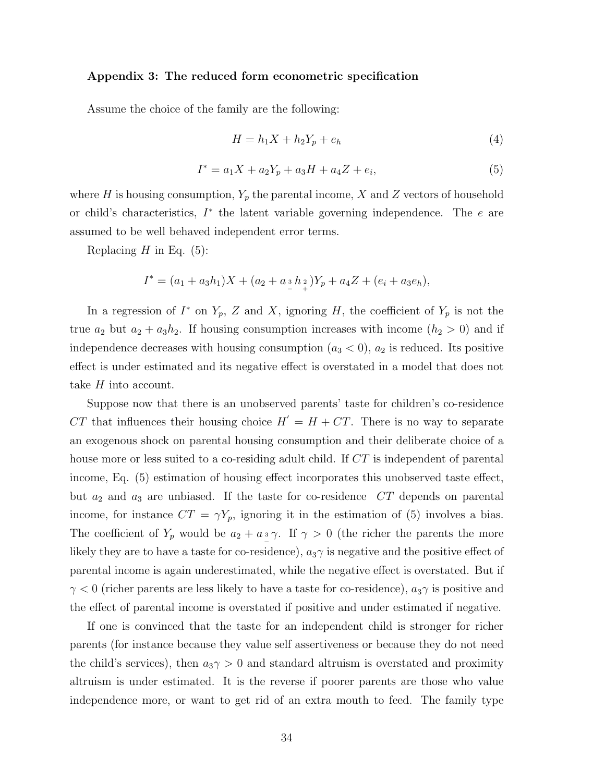#### Appendix 3: The reduced form econometric specification

Assume the choice of the family are the following:

$$
H = h_1 X + h_2 Y_p + e_h \tag{4}
$$

$$
I^* = a_1 X + a_2 Y_p + a_3 H + a_4 Z + e_i,
$$
\n(5)

where H is housing consumption,  $Y_p$  the parental income, X and Z vectors of household or child's characteristics,  $I^*$  the latent variable governing independence. The  $e$  are assumed to be well behaved independent error terms.

Replacing  $H$  in Eq. (5):

$$
I^* = (a_1 + a_3h_1)X + (a_2 + a_3h_2)Y_p + a_4Z + (e_i + a_3e_h),
$$

In a regression of  $I^*$  on  $Y_p$ , Z and X, ignoring H, the coefficient of  $Y_p$  is not the true  $a_2$  but  $a_2 + a_3h_2$ . If housing consumption increases with income  $(h_2 > 0)$  and if independence decreases with housing consumption  $(a_3 < 0)$ ,  $a_2$  is reduced. Its positive effect is under estimated and its negative effect is overstated in a model that does not take H into account.

Suppose now that there is an unobserved parents' taste for children's co-residence CT that influences their housing choice  $H' = H + CT$ . There is no way to separate an exogenous shock on parental housing consumption and their deliberate choice of a house more or less suited to a co-residing adult child. If CT is independent of parental income, Eq. (5) estimation of housing effect incorporates this unobserved taste effect, but  $a_2$  and  $a_3$  are unbiased. If the taste for co-residence  $CT$  depends on parental income, for instance  $CT = \gamma Y_p$ , ignoring it in the estimation of (5) involves a bias. The coefficient of  $Y_p$  would be  $a_2 + a_3 \gamma$ . If  $\gamma > 0$  (the richer the parents the more likely they are to have a taste for co-residence),  $a_3\gamma$  is negative and the positive effect of parental income is again underestimated, while the negative effect is overstated. But if  $\gamma$  < 0 (richer parents are less likely to have a taste for co-residence),  $a_3\gamma$  is positive and the effect of parental income is overstated if positive and under estimated if negative.

If one is convinced that the taste for an independent child is stronger for richer parents (for instance because they value self assertiveness or because they do not need the child's services), then  $a_3\gamma > 0$  and standard altruism is overstated and proximity altruism is under estimated. It is the reverse if poorer parents are those who value independence more, or want to get rid of an extra mouth to feed. The family type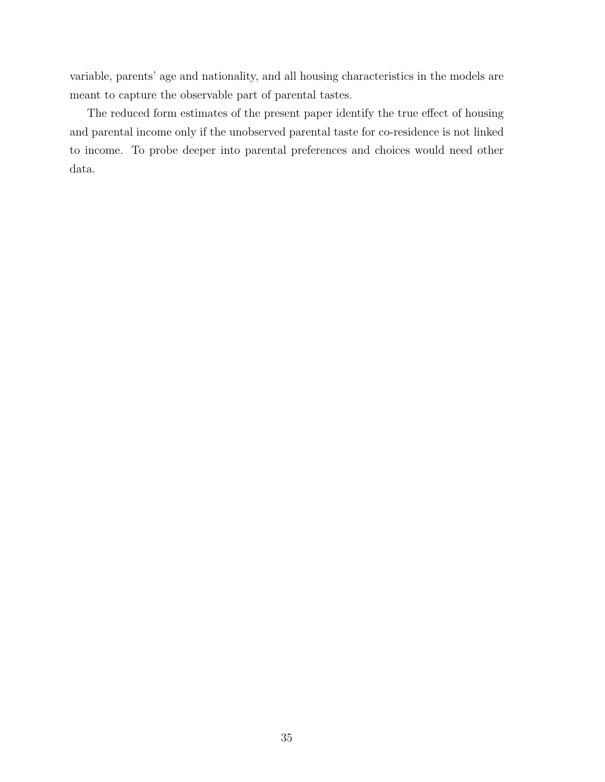variable, parents' age and nationality, and all housing characteristics in the models are meant to capture the observable part of parental tastes.

The reduced form estimates of the present paper identify the true effect of housing and parental income only if the unobserved parental taste for co-residence is not linked to income. To probe deeper into parental preferences and choices would need other data.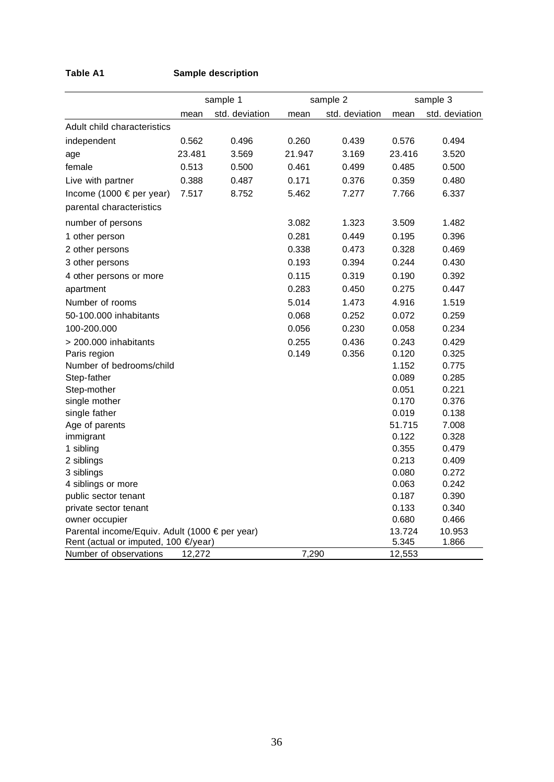### **Table A1 Sample description**

|                                                |        | sample 1       |        | sample 2       |        | sample 3       |
|------------------------------------------------|--------|----------------|--------|----------------|--------|----------------|
|                                                | mean   | std. deviation | mean   | std. deviation | mean   | std. deviation |
| Adult child characteristics                    |        |                |        |                |        |                |
| independent                                    | 0.562  | 0.496          | 0.260  | 0.439          | 0.576  | 0.494          |
| age                                            | 23.481 | 3.569          | 21.947 | 3.169          | 23.416 | 3.520          |
| female                                         | 0.513  | 0.500          | 0.461  | 0.499          | 0.485  | 0.500          |
| Live with partner                              | 0.388  | 0.487          | 0.171  | 0.376          | 0.359  | 0.480          |
| Income (1000 € per year)                       | 7.517  | 8.752          | 5.462  | 7.277          | 7.766  | 6.337          |
| parental characteristics                       |        |                |        |                |        |                |
| number of persons                              |        |                | 3.082  | 1.323          | 3.509  | 1.482          |
| 1 other person                                 |        |                | 0.281  | 0.449          | 0.195  | 0.396          |
| 2 other persons                                |        |                | 0.338  | 0.473          | 0.328  | 0.469          |
| 3 other persons                                |        |                | 0.193  | 0.394          | 0.244  | 0.430          |
| 4 other persons or more                        |        |                | 0.115  | 0.319          | 0.190  | 0.392          |
| apartment                                      |        |                | 0.283  | 0.450          | 0.275  | 0.447          |
| Number of rooms                                |        |                | 5.014  | 1.473          | 4.916  | 1.519          |
| 50-100,000 inhabitants                         |        |                | 0.068  | 0.252          | 0.072  | 0.259          |
| 100-200.000                                    |        |                | 0.056  | 0.230          | 0.058  | 0.234          |
| > 200.000 inhabitants                          |        |                | 0.255  | 0.436          | 0.243  | 0.429          |
| Paris region                                   |        |                | 0.149  | 0.356          | 0.120  | 0.325          |
| Number of bedrooms/child                       |        |                |        |                | 1.152  | 0.775          |
| Step-father                                    |        |                |        |                | 0.089  | 0.285          |
| Step-mother                                    |        |                |        |                | 0.051  | 0.221          |
| single mother                                  |        |                |        |                | 0.170  | 0.376          |
| single father                                  |        |                |        |                | 0.019  | 0.138          |
| Age of parents                                 |        |                |        |                | 51.715 | 7.008          |
| immigrant                                      |        |                |        |                | 0.122  | 0.328          |
| 1 sibling                                      |        |                |        |                | 0.355  | 0.479          |
| 2 siblings                                     |        |                |        |                | 0.213  | 0.409          |
| 3 siblings                                     |        |                |        |                | 0.080  | 0.272          |
| 4 siblings or more                             |        |                |        |                | 0.063  | 0.242          |
| public sector tenant                           |        |                |        |                | 0.187  | 0.390          |
| private sector tenant                          |        |                |        |                | 0.133  | 0.340          |
| owner occupier                                 |        |                |        |                | 0.680  | 0.466          |
| Parental income/Equiv. Adult (1000 € per year) |        |                |        |                | 13.724 | 10.953         |
| Rent (actual or imputed, 100 €/year)           |        |                |        |                | 5.345  | 1.866          |
| Number of observations                         | 12,272 |                | 7,290  |                | 12,553 |                |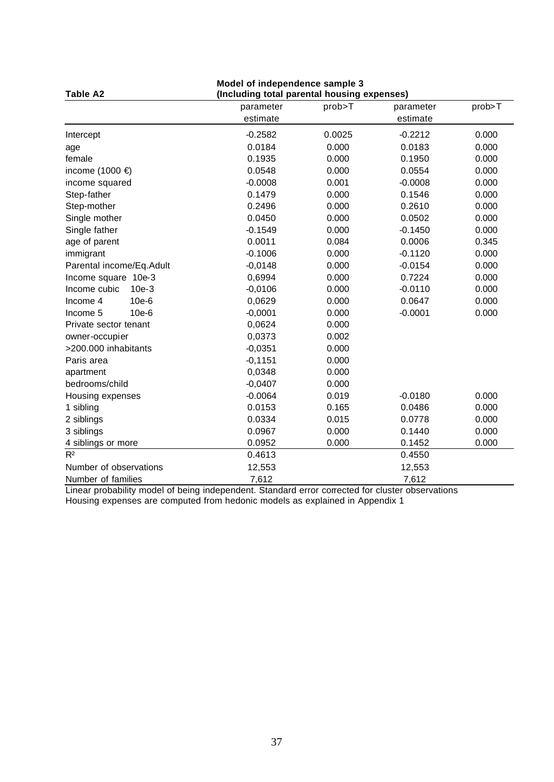| <b>Table A2</b>          | Model of independence sample 3<br>(Including total parental housing expenses) |        |           |        |
|--------------------------|-------------------------------------------------------------------------------|--------|-----------|--------|
|                          | parameter                                                                     | prob>T | parameter | prob>T |
|                          | estimate                                                                      |        | estimate  |        |
| Intercept                | $-0.2582$                                                                     | 0.0025 | $-0.2212$ | 0.000  |
| age                      | 0.0184                                                                        | 0.000  | 0.0183    | 0.000  |
| female                   | 0.1935                                                                        | 0.000  | 0.1950    | 0.000  |
| income (1000 €)          | 0.0548                                                                        | 0.000  | 0.0554    | 0.000  |
| income squared           | $-0.0008$                                                                     | 0.001  | $-0.0008$ | 0.000  |
| Step-father              | 0.1479                                                                        | 0.000  | 0.1546    | 0.000  |
| Step-mother              | 0.2496                                                                        | 0.000  | 0.2610    | 0.000  |
| Single mother            | 0.0450                                                                        | 0.000  | 0.0502    | 0.000  |
| Single father            | $-0.1549$                                                                     | 0.000  | $-0.1450$ | 0.000  |
| age of parent            | 0.0011                                                                        | 0.084  | 0.0006    | 0.345  |
| immigrant                | $-0.1006$                                                                     | 0.000  | $-0.1120$ | 0.000  |
| Parental income/Eq.Adult | $-0,0148$                                                                     | 0.000  | $-0.0154$ | 0.000  |
| Income square 10e-3      | 0,6994                                                                        | 0.000  | 0.7224    | 0.000  |
| Income cubic<br>$10e-3$  | $-0,0106$                                                                     | 0.000  | $-0.0110$ | 0.000  |
| Income 4<br>$10e-6$      | 0,0629                                                                        | 0.000  | 0.0647    | 0.000  |
| 10e-6<br>Income 5        | $-0,0001$                                                                     | 0.000  | $-0.0001$ | 0.000  |
| Private sector tenant    | 0,0624                                                                        | 0.000  |           |        |
| owner-occupier           | 0,0373                                                                        | 0.002  |           |        |
| >200.000 inhabitants     | $-0,0351$                                                                     | 0.000  |           |        |
| Paris area               | $-0,1151$                                                                     | 0.000  |           |        |
| apartment                | 0,0348                                                                        | 0.000  |           |        |
| bedrooms/child           | $-0,0407$                                                                     | 0.000  |           |        |
| Housing expenses         | $-0.0064$                                                                     | 0.019  | $-0.0180$ | 0.000  |
| 1 sibling                | 0.0153                                                                        | 0.165  | 0.0486    | 0.000  |
| 2 siblings               | 0.0334                                                                        | 0.015  | 0.0778    | 0.000  |
| 3 siblings               | 0.0967                                                                        | 0.000  | 0.1440    | 0.000  |
| 4 siblings or more       | 0.0952                                                                        | 0.000  | 0.1452    | 0.000  |
| R <sup>2</sup>           | 0.4613                                                                        |        | 0.4550    |        |
| Number of observations   | 12,553                                                                        |        | 12,553    |        |
| Number of families       | 7,612                                                                         |        | 7,612     |        |

Linear probability model of being independent. Standard error corrected for cluster observations Housing expenses are computed from hedonic models as explained in Appendix 1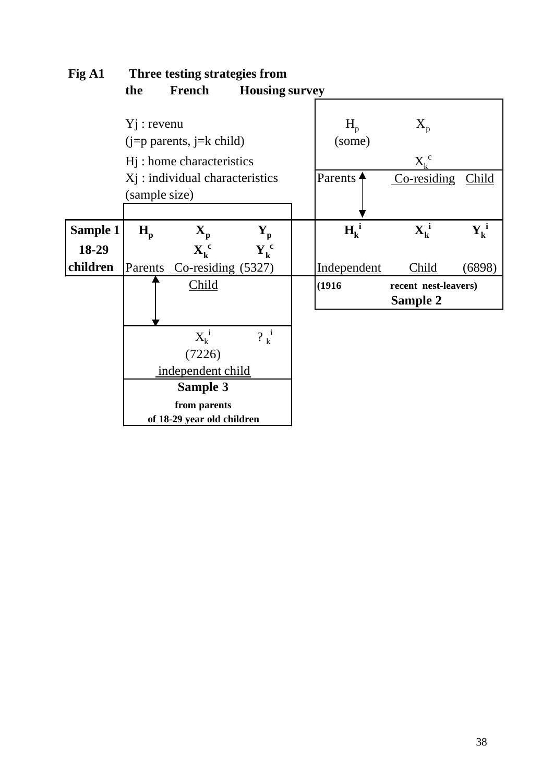| гід пі          |               |                                       | THEre itsuing strategies if one |                                |                                        |               |  |  |
|-----------------|---------------|---------------------------------------|---------------------------------|--------------------------------|----------------------------------------|---------------|--|--|
|                 | the           | <b>French</b>                         | <b>Housing survey</b>           |                                |                                        |               |  |  |
|                 |               |                                       |                                 |                                |                                        |               |  |  |
|                 | $Yj:$ revenu  |                                       |                                 | $H_{p}$                        | $X_{p}$                                |               |  |  |
|                 |               | $(j=p$ parents, $j=k$ child)          |                                 | (some)                         |                                        |               |  |  |
|                 |               | H <sub>j</sub> : home characteristics |                                 |                                | $X_k^c$                                |               |  |  |
|                 |               | Xj: individual characteristics        |                                 | Parents                        | Co-residing                            | <b>Child</b>  |  |  |
|                 | (sample size) |                                       |                                 |                                |                                        |               |  |  |
|                 |               |                                       |                                 |                                |                                        |               |  |  |
| <b>Sample 1</b> | $H_{n}$       | $\mathbf{X}_{\mathbf{n}}$             | $\mathbf{Y}_{\mathbf{p}}$       | $H_k^1$                        | $\mathbf{X}_{\mathbf{k}}^{\mathbf{i}}$ | ${\bf Y_k}^i$ |  |  |
| 18-29           |               | $X_k^c$                               | $Y_k^c$                         |                                |                                        |               |  |  |
| children        |               | Parents Co-residing (5327)            |                                 | Independent                    | Child                                  | (6898)        |  |  |
|                 |               | Child                                 |                                 | (1916)<br>recent nest-leavers) |                                        |               |  |  |
|                 |               |                                       |                                 |                                | Sample 2                               |               |  |  |
|                 |               |                                       |                                 |                                |                                        |               |  |  |
|                 |               | $X_k^i$                               | $?^i_k$                         |                                |                                        |               |  |  |
|                 |               | (7226)                                |                                 |                                |                                        |               |  |  |
|                 |               | independent child                     |                                 |                                |                                        |               |  |  |
|                 |               | Sample 3                              |                                 |                                |                                        |               |  |  |
|                 |               | from parents                          |                                 |                                |                                        |               |  |  |
|                 |               | of 18-29 year old children            |                                 |                                |                                        |               |  |  |

## **Fig A1 Three testing strategies from**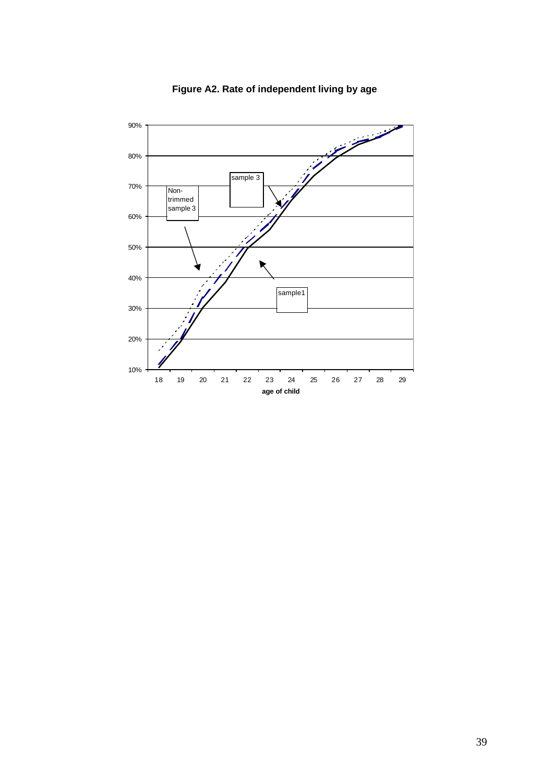

**Figure A2. Rate of independent living by age**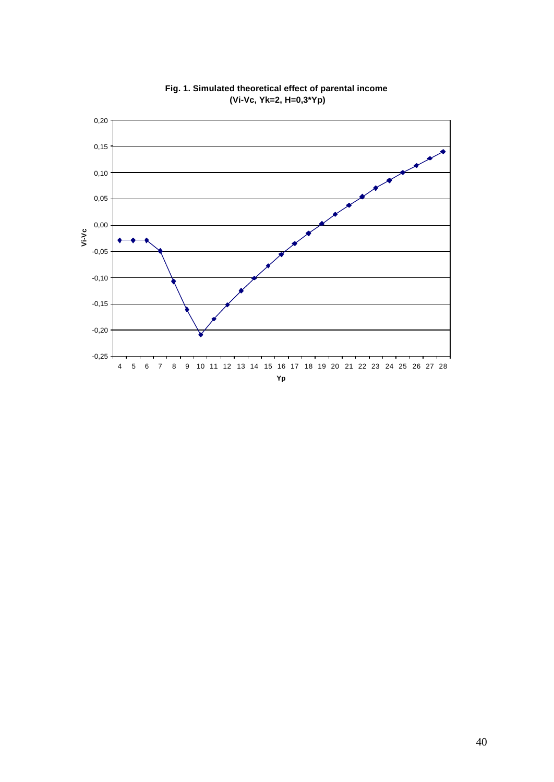

**Fig. 1. Simulated theoretical effect of parental income (Vi-Vc, Yk=2, H=0,3\*Yp)**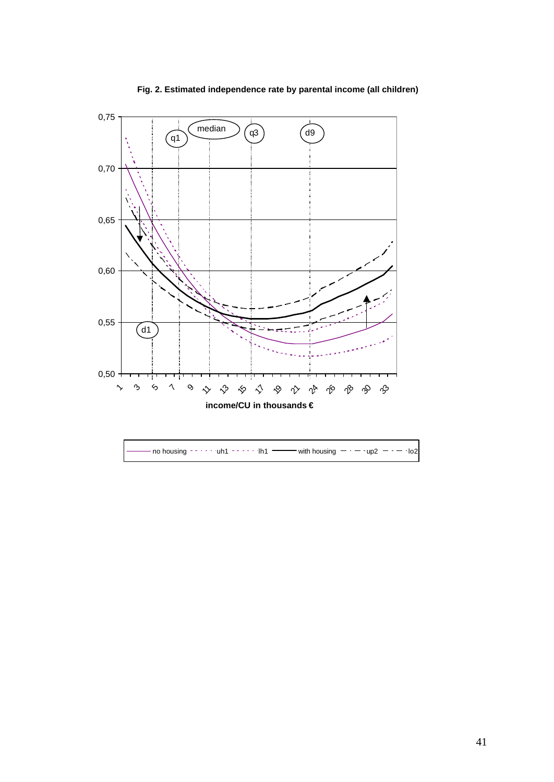

**Fig. 2. Estimated independence rate by parental income (all children)**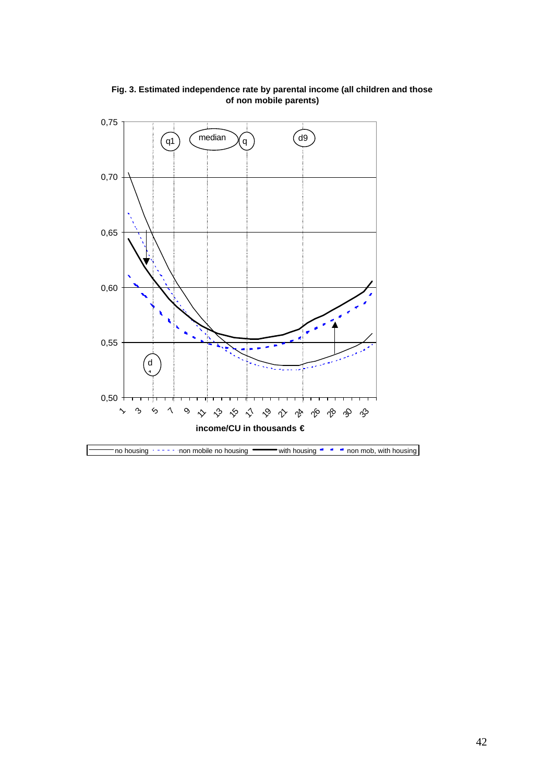

**Fig. 3. Estimated independence rate by parental income (all children and those of non mobile parents)**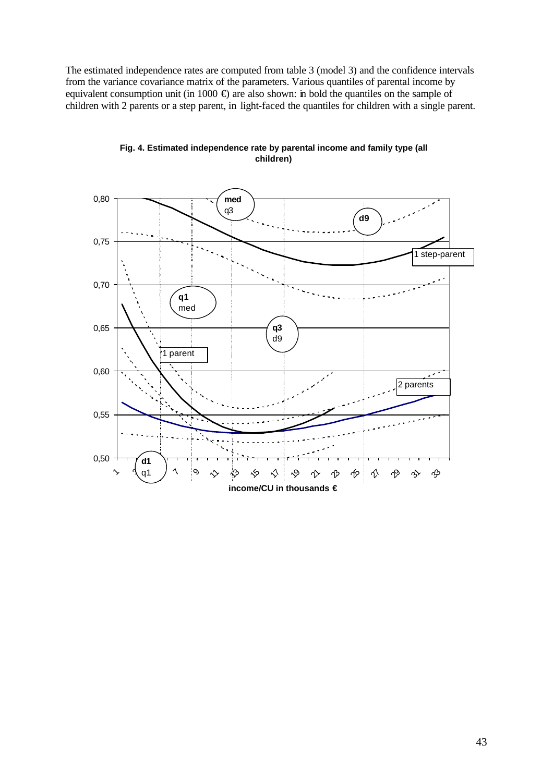The estimated independence rates are computed from table 3 (model 3) and the confidence intervals from the variance covariance matrix of the parameters. Various quantiles of parental income by equivalent consumption unit (in 1000  $\oplus$ ) are also shown: in bold the quantiles on the sample of children with 2 parents or a step parent, in light-faced the quantiles for children with a single parent.



**Fig. 4. Estimated independence rate by parental income and family type (all children)**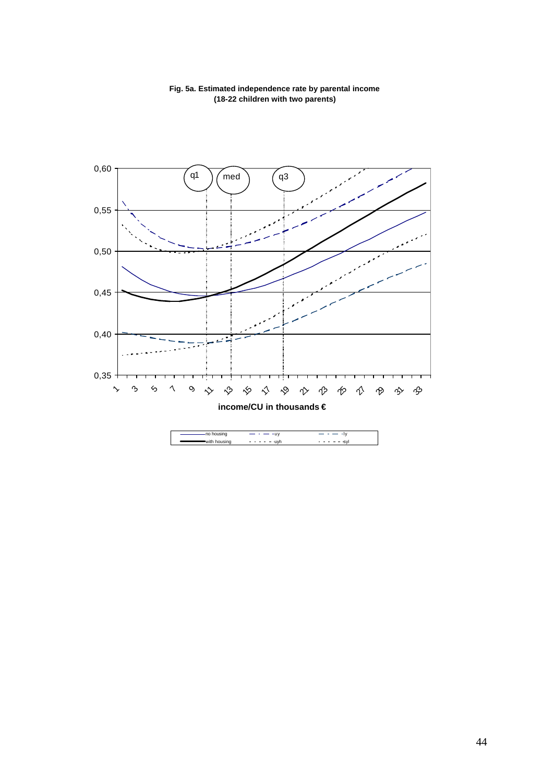

### **Fig. 5a. Estimated independence rate by parental income (18-22 children with two parents)**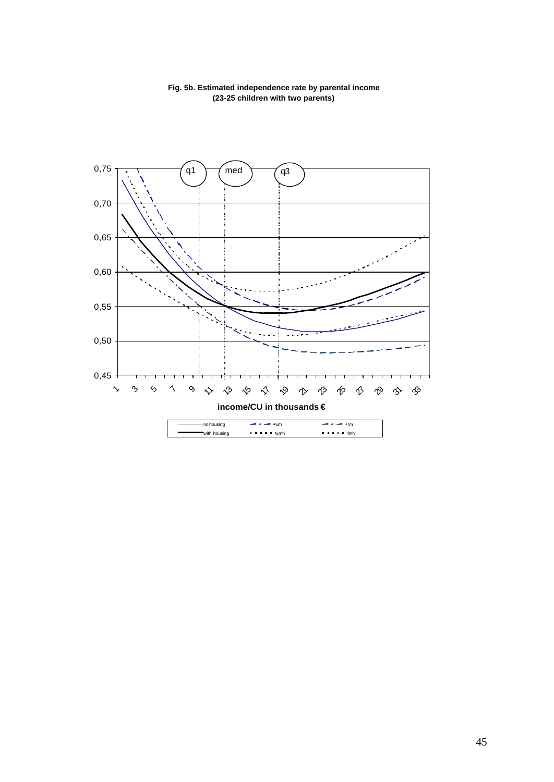

**Fig. 5b. Estimated independence rate by parental income (23-25 children with two parents)**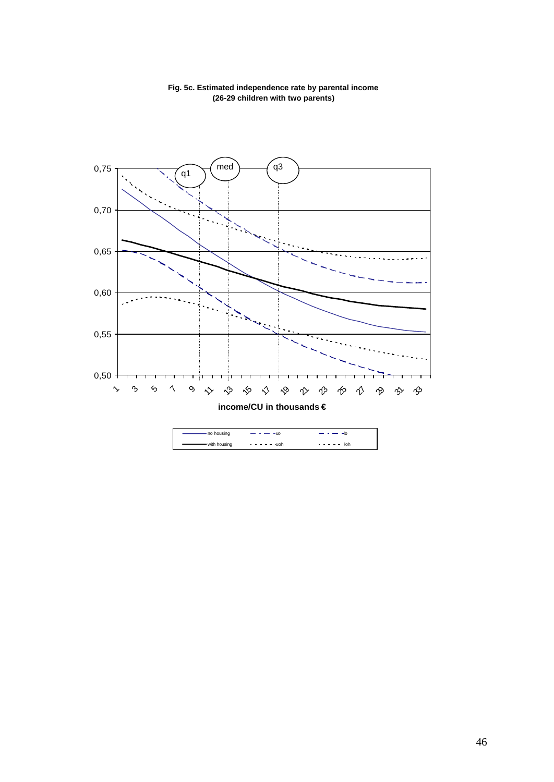

### **Fig. 5c. Estimated independence rate by parental income (26-29 children with two parents)**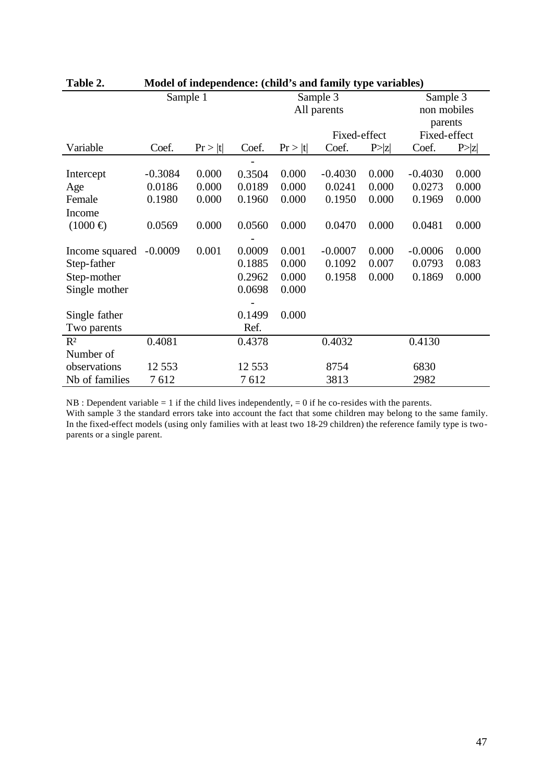| 1 avil 2.      |           |          |              |         | $m$ and $n$ independence. (China 5 and Taniny type variables) |        |              |        |
|----------------|-----------|----------|--------------|---------|---------------------------------------------------------------|--------|--------------|--------|
|                |           | Sample 1 |              |         | Sample 3                                                      |        | Sample 3     |        |
|                |           |          |              |         | All parents                                                   |        | non mobiles  |        |
|                |           |          |              |         |                                                               |        | parents      |        |
|                |           |          | Fixed-effect |         |                                                               |        | Fixed-effect |        |
| Variable       | Coef.     | Pr >  t  | Coef.        | Pr >  t | Coef.                                                         | P >  z | Coef.        | P >  z |
|                |           |          |              |         |                                                               |        |              |        |
| Intercept      | $-0.3084$ | 0.000    | 0.3504       | 0.000   | $-0.4030$                                                     | 0.000  | $-0.4030$    | 0.000  |
| Age            | 0.0186    | 0.000    | 0.0189       | 0.000   | 0.0241                                                        | 0.000  | 0.0273       | 0.000  |
| Female         | 0.1980    | 0.000    | 0.1960       | 0.000   | 0.1950                                                        | 0.000  | 0.1969       | 0.000  |
| Income         |           |          |              |         |                                                               |        |              |        |
| $(1000 \oplus$ | 0.0569    | 0.000    | 0.0560       | 0.000   | 0.0470                                                        | 0.000  | 0.0481       | 0.000  |
|                |           |          |              |         |                                                               |        |              |        |
| Income squared | $-0.0009$ | 0.001    | 0.0009       | 0.001   | $-0.0007$                                                     | 0.000  | $-0.0006$    | 0.000  |
| Step-father    |           |          | 0.1885       | 0.000   | 0.1092                                                        | 0.007  | 0.0793       | 0.083  |
| Step-mother    |           |          | 0.2962       | 0.000   | 0.1958                                                        | 0.000  | 0.1869       | 0.000  |
| Single mother  |           |          | 0.0698       | 0.000   |                                                               |        |              |        |
|                |           |          |              |         |                                                               |        |              |        |
| Single father  |           |          | 0.1499       | 0.000   |                                                               |        |              |        |
| Two parents    |           |          | Ref.         |         |                                                               |        |              |        |
| $R^2$          | 0.4081    |          | 0.4378       |         | 0.4032                                                        |        | 0.4130       |        |
| Number of      |           |          |              |         |                                                               |        |              |        |
| observations   | 12 5 5 3  |          | 12 5 5 3     |         | 8754                                                          |        | 6830         |        |
| Nb of families | 7612      |          | 7612         |         | 3813                                                          |        | 2982         |        |

| Table 2. | Model of independence: (child's and family type variables) |  |  |  |
|----------|------------------------------------------------------------|--|--|--|
|----------|------------------------------------------------------------|--|--|--|

 $NB : Dependent variable = 1$  if the child lives independently,  $= 0$  if he co-resides with the parents.

With sample 3 the standard errors take into account the fact that some children may belong to the same family. In the fixed-effect models (using only families with at least two 18-29 children) the reference family type is twoparents or a single parent.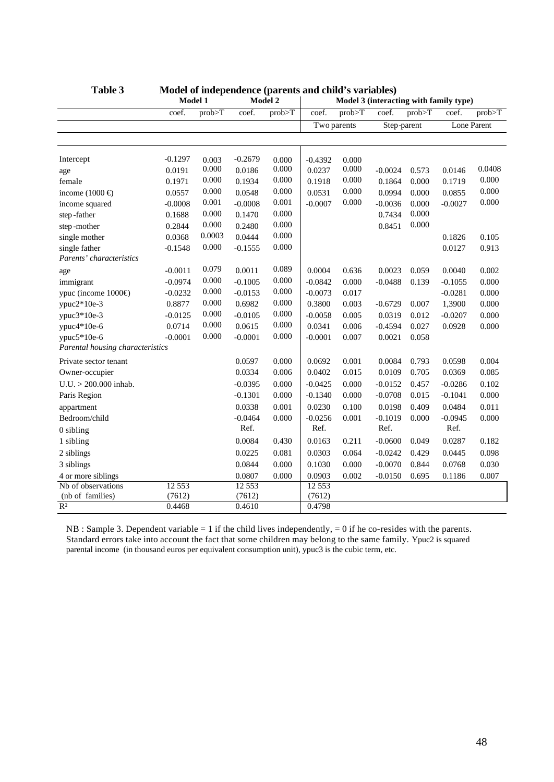|                                  | Model 1   |        |           | Model 2   |             | Model 3 (interacting with family type) |             |        |             |        |
|----------------------------------|-----------|--------|-----------|-----------|-------------|----------------------------------------|-------------|--------|-------------|--------|
|                                  | coef.     | prob>T | coef.     | prob>T    | coef.       | prob>T                                 | coef.       | prob>T | coef.       | prob>T |
|                                  |           |        |           |           | Two parents |                                        | Step-parent |        | Lone Parent |        |
|                                  |           |        |           |           |             |                                        |             |        |             |        |
|                                  |           |        |           |           |             |                                        |             |        |             |        |
| Intercept                        | $-0.1297$ | 0.003  | $-0.2679$ | 0.000     | $-0.4392$   | 0.000                                  |             |        |             |        |
| age                              | 0.0191    | 0.000  | 0.0186    | 0.000     | 0.0237      | 0.000                                  | $-0.0024$   | 0.573  | 0.0146      | 0.0408 |
| female                           | 0.1971    | 0.000  | 0.1934    | 0.000     | 0.1918      | 0.000                                  | 0.1864      | 0.000  | 0.1719      | 0.000  |
| income $(1000 \oplus$            | 0.0557    | 0.000  | 0.0548    | 0.000     | 0.0531      | 0.000                                  | 0.0994      | 0.000  | 0.0855      | 0.000  |
| income squared                   | $-0.0008$ | 0.001  | $-0.0008$ | 0.001     | $-0.0007$   | 0.000                                  | $-0.0036$   | 0.000  | $-0.0027$   | 0.000  |
| step-father                      | 0.1688    | 0.000  | 0.1470    | 0.000     |             |                                        | 0.7434      | 0.000  |             |        |
| step-mother                      | 0.2844    | 0.000  | 0.2480    | 0.000     |             |                                        | 0.8451      | 0.000  |             |        |
| single mother                    | 0.0368    | 0.0003 | 0.0444    | $0.000\,$ |             |                                        |             |        | 0.1826      | 0.105  |
| single father                    | $-0.1548$ | 0.000  | $-0.1555$ | 0.000     |             |                                        |             |        | 0.0127      | 0.913  |
| Parents' characteristics         |           |        |           |           |             |                                        |             |        |             |        |
| age                              | $-0.0011$ | 0.079  | 0.0011    | 0.089     | 0.0004      | 0.636                                  | 0.0023      | 0.059  | 0.0040      | 0.002  |
| immigrant                        | $-0.0974$ | 0.000  | $-0.1005$ | 0.000     | $-0.0842$   | 0.000                                  | $-0.0488$   | 0.139  | $-0.1055$   | 0.000  |
| ypuc (income $1000 \oplus$       | $-0.0232$ | 0.000  | $-0.0153$ | 0.000     | $-0.0073$   | 0.017                                  |             |        | $-0.0281$   | 0.000  |
| ypuc $2*10e-3$                   | 0.8877    | 0.000  | 0.6982    | 0.000     | 0.3800      | 0.003                                  | $-0.6729$   | 0.007  | 1,3900      | 0.000  |
| ypuc $3*10e-3$                   | $-0.0125$ | 0.000  | $-0.0105$ | 0.000     | $-0.0058$   | 0.005                                  | 0.0319      | 0.012  | $-0.0207$   | 0.000  |
| ypuc $4*10e-6$                   | 0.0714    | 0.000  | 0.0615    | 0.000     | 0.0341      | 0.006                                  | $-0.4594$   | 0.027  | 0.0928      | 0.000  |
| ypuc5*10e-6                      | $-0.0001$ | 0.000  | $-0.0001$ | 0.000     | $-0.0001$   | 0.007                                  | 0.0021      | 0.058  |             |        |
| Parental housing characteristics |           |        |           |           |             |                                        |             |        |             |        |
| Private sector tenant            |           |        | 0.0597    | 0.000     | 0.0692      | 0.001                                  | 0.0084      | 0.793  | 0.0598      | 0.004  |
| Owner-occupier                   |           |        | 0.0334    | 0.006     | 0.0402      | 0.015                                  | 0.0109      | 0.705  | 0.0369      | 0.085  |
| $U.U. > 200.000$ inhab.          |           |        | $-0.0395$ | 0.000     | $-0.0425$   | 0.000                                  | $-0.0152$   | 0.457  | $-0.0286$   | 0.102  |
| Paris Region                     |           |        | $-0.1301$ | 0.000     | $-0.1340$   | 0.000                                  | $-0.0708$   | 0.015  | $-0.1041$   | 0.000  |
| appartment                       |           |        | 0.0338    | 0.001     | 0.0230      | 0.100                                  | 0.0198      | 0.409  | 0.0484      | 0.011  |
| Bedroom/child                    |           |        | $-0.0464$ | 0.000     | $-0.0256$   | 0.001                                  | $-0.1019$   | 0.000  | $-0.0945$   | 0.000  |
| 0 sibling                        |           |        | Ref.      |           | Ref.        |                                        | Ref.        |        | Ref.        |        |
| 1 sibling                        |           |        | 0.0084    | 0.430     | 0.0163      | 0.211                                  | $-0.0600$   | 0.049  | 0.0287      | 0.182  |
| 2 siblings                       |           |        | 0.0225    | 0.081     | 0.0303      | 0.064                                  | $-0.0242$   | 0.429  | 0.0445      | 0.098  |
| 3 siblings                       |           |        | 0.0844    | 0.000     | 0.1030      | 0.000                                  | $-0.0070$   | 0.844  | 0.0768      | 0.030  |
| 4 or more siblings               |           |        | 0.0807    | 0.000     | 0.0903      | 0.002                                  | $-0.0150$   | 0.695  | 0.1186      | 0.007  |
| Nb of observations               | 12 5 53   |        | 12 5 5 3  |           | 12 5 53     |                                        |             |        |             |        |
| (nb of families)                 | (7612)    |        | (7612)    |           | (7612)      |                                        |             |        |             |        |
| $R^2$                            | 0.4468    |        | 0.4610    |           | 0.4798      |                                        |             |        |             |        |

| Table 3 | Model of independence (parents and child's variables) |  |  |  |  |
|---------|-------------------------------------------------------|--|--|--|--|
|---------|-------------------------------------------------------|--|--|--|--|

 $NB: Sample 3. Dependent variable = 1$  if the child lives independently,  $= 0$  if he co-resides with the parents. Standard errors take into account the fact that some children may belong to the same family. Ypuc2 is squared parental income (in thousand euros per equivalent consumption unit), ypuc3 is the cubic term, etc.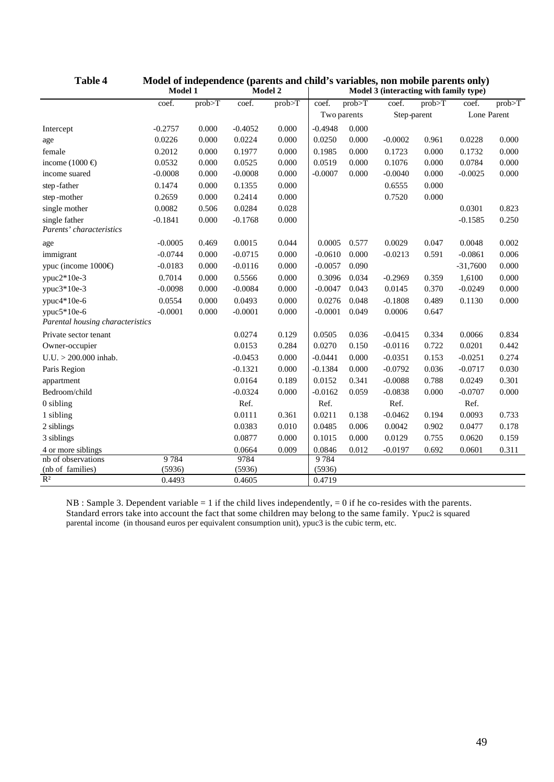|                                  | Model 1   |        |           | Model 2 | $1.10000$ or mucpendence (parents and emig $5$ variables, non-moone parents only)<br>Model 3 (interacting with family type) |        |             |        |             |        |
|----------------------------------|-----------|--------|-----------|---------|-----------------------------------------------------------------------------------------------------------------------------|--------|-------------|--------|-------------|--------|
|                                  | coef.     | prob>T | coef.     | prob>T  | coef.                                                                                                                       | prob>T | coef.       | prob>T | coef.       | prob>T |
|                                  |           |        |           |         | Two parents                                                                                                                 |        | Step-parent |        | Lone Parent |        |
| Intercept                        | $-0.2757$ | 0.000  | $-0.4052$ | 0.000   | $-0.4948$                                                                                                                   | 0.000  |             |        |             |        |
| age                              | 0.0226    | 0.000  | 0.0224    | 0.000   | 0.0250                                                                                                                      | 0.000  | $-0.0002$   | 0.961  | 0.0228      | 0.000  |
| female                           | 0.2012    | 0.000  | 0.1977    | 0.000   | 0.1985                                                                                                                      | 0.000  | 0.1723      | 0.000  | 0.1732      | 0.000  |
| income $(1000 \in$               | 0.0532    | 0.000  | 0.0525    | 0.000   | 0.0519                                                                                                                      | 0.000  | 0.1076      | 0.000  | 0.0784      | 0.000  |
| income suared                    | $-0.0008$ | 0.000  | $-0.0008$ | 0.000   | $-0.0007$                                                                                                                   | 0.000  | $-0.0040$   | 0.000  | $-0.0025$   | 0.000  |
| step-father                      | 0.1474    | 0.000  | 0.1355    | 0.000   |                                                                                                                             |        | 0.6555      | 0.000  |             |        |
| step-mother                      | 0.2659    | 0.000  | 0.2414    | 0.000   |                                                                                                                             |        | 0.7520      | 0.000  |             |        |
| single mother                    | 0.0082    | 0.506  | 0.0284    | 0.028   |                                                                                                                             |        |             |        | 0.0301      | 0.823  |
| single father                    | $-0.1841$ | 0.000  | $-0.1768$ | 0.000   |                                                                                                                             |        |             |        | $-0.1585$   | 0.250  |
| Parents' characteristics         |           |        |           |         |                                                                                                                             |        |             |        |             |        |
| age                              | $-0.0005$ | 0.469  | 0.0015    | 0.044   | 0.0005                                                                                                                      | 0.577  | 0.0029      | 0.047  | 0.0048      | 0.002  |
| immigrant                        | $-0.0744$ | 0.000  | $-0.0715$ | 0.000   | $-0.0610$                                                                                                                   | 0.000  | $-0.0213$   | 0.591  | $-0.0861$   | 0.006  |
| ypuc (income $1000 \oplus$       | $-0.0183$ | 0.000  | $-0.0116$ | 0.000   | $-0.0057$                                                                                                                   | 0.090  |             |        | $-31,7600$  | 0.000  |
| $ypuc2*10e-3$                    | 0.7014    | 0.000  | 0.5566    | 0.000   | 0.3096                                                                                                                      | 0.034  | $-0.2969$   | 0.359  | 1,6100      | 0.000  |
| ypuc $3*10e-3$                   | $-0.0098$ | 0.000  | $-0.0084$ | 0.000   | $-0.0047$                                                                                                                   | 0.043  | 0.0145      | 0.370  | $-0.0249$   | 0.000  |
| ypuc4*10e-6                      | 0.0554    | 0.000  | 0.0493    | 0.000   | 0.0276                                                                                                                      | 0.048  | $-0.1808$   | 0.489  | 0.1130      | 0.000  |
| $ypuc5*10e-6$                    | $-0.0001$ | 0.000  | $-0.0001$ | 0.000   | $-0.0001$                                                                                                                   | 0.049  | 0.0006      | 0.647  |             |        |
| Parental housing characteristics |           |        |           |         |                                                                                                                             |        |             |        |             |        |
| Private sector tenant            |           |        | 0.0274    | 0.129   | 0.0505                                                                                                                      | 0.036  | $-0.0415$   | 0.334  | 0.0066      | 0.834  |
| Owner-occupier                   |           |        | 0.0153    | 0.284   | 0.0270                                                                                                                      | 0.150  | $-0.0116$   | 0.722  | 0.0201      | 0.442  |
| $U.U. > 200.000$ inhab.          |           |        | $-0.0453$ | 0.000   | $-0.0441$                                                                                                                   | 0.000  | $-0.0351$   | 0.153  | $-0.0251$   | 0.274  |
| Paris Region                     |           |        | $-0.1321$ | 0.000   | $-0.1384$                                                                                                                   | 0.000  | $-0.0792$   | 0.036  | $-0.0717$   | 0.030  |
| appartment                       |           |        | 0.0164    | 0.189   | 0.0152                                                                                                                      | 0.341  | $-0.0088$   | 0.788  | 0.0249      | 0.301  |
| Bedroom/child                    |           |        | $-0.0324$ | 0.000   | $-0.0162$                                                                                                                   | 0.059  | $-0.0838$   | 0.000  | $-0.0707$   | 0.000  |
| $0$ sibling                      |           |        | Ref.      |         | Ref.                                                                                                                        |        | Ref.        |        | Ref.        |        |
| 1 sibling                        |           |        | 0.0111    | 0.361   | 0.0211                                                                                                                      | 0.138  | $-0.0462$   | 0.194  | 0.0093      | 0.733  |
| 2 siblings                       |           |        | 0.0383    | 0.010   | 0.0485                                                                                                                      | 0.006  | 0.0042      | 0.902  | 0.0477      | 0.178  |
| 3 siblings                       |           |        | 0.0877    | 0.000   | 0.1015                                                                                                                      | 0.000  | 0.0129      | 0.755  | 0.0620      | 0.159  |
| 4 or more siblings               |           |        | 0.0664    | 0.009   | 0.0846                                                                                                                      | 0.012  | $-0.0197$   | 0.692  | 0.0601      | 0.311  |
| nb of observations               | 9784      |        | 9784      |         | 9784                                                                                                                        |        |             |        |             |        |
| (nb of families)                 | (5936)    |        | (5936)    |         | (5936)                                                                                                                      |        |             |        |             |        |
| $\overline{\mathbb{R}^2}$        | 0.4493    |        | 0.4605    |         | 0.4719                                                                                                                      |        |             |        |             |        |

| <b>Table 4</b> | Model of independence (parents and child's variables, non mobile parents only) |         |                                         |
|----------------|--------------------------------------------------------------------------------|---------|-----------------------------------------|
|                | Madal 1                                                                        | Modol 2 | Model 2 (interpreting with family type) |

 $NB: Sample 3. Dependent variable = 1$  if the child lives independently,  $= 0$  if he co-resides with the parents. Standard errors take into account the fact that some children may belong to the same family. Ypuc2 is squared parental income (in thousand euros per equivalent consumption unit), ypuc3 is the cubic term, etc.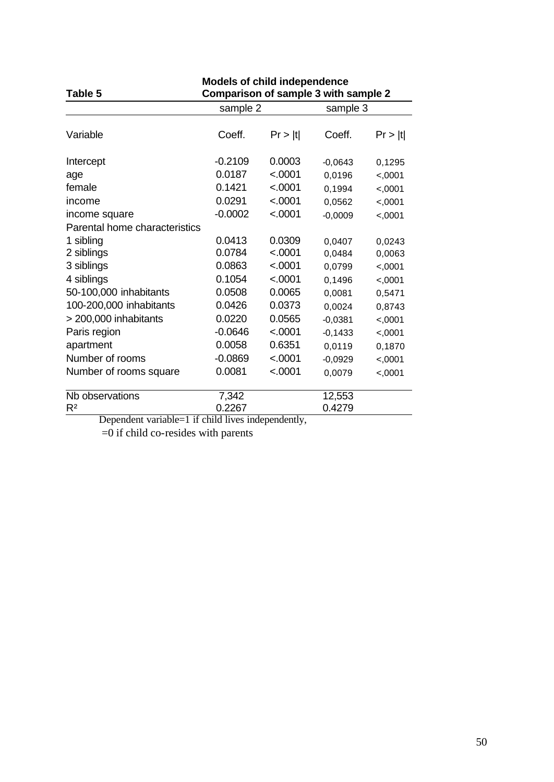| Table 5                                            | <b>Models of child independence</b><br>Comparison of sample 3 with sample 2 |         |           |          |  |  |
|----------------------------------------------------|-----------------------------------------------------------------------------|---------|-----------|----------|--|--|
|                                                    | sample 2                                                                    |         |           | sample 3 |  |  |
| Variable                                           | Coeff.                                                                      | Pr >  t | Coeff.    | Pr >  t  |  |  |
| Intercept                                          | $-0.2109$                                                                   | 0.0003  | $-0,0643$ | 0,1295   |  |  |
| age                                                | 0.0187                                                                      | < .0001 | 0,0196    | <,0001   |  |  |
| female                                             | 0.1421                                                                      | < .0001 | 0,1994    | <,0001   |  |  |
| income                                             | 0.0291                                                                      | < .0001 | 0,0562    | <,0001   |  |  |
| income square                                      | $-0.0002$                                                                   | < .0001 | $-0,0009$ | <,0001   |  |  |
| Parental home characteristics                      |                                                                             |         |           |          |  |  |
| 1 sibling                                          | 0.0413                                                                      | 0.0309  | 0,0407    | 0,0243   |  |  |
| 2 siblings                                         | 0.0784                                                                      | < .0001 | 0,0484    | 0,0063   |  |  |
| 3 siblings                                         | 0.0863                                                                      | < .0001 | 0,0799    | <,0001   |  |  |
| 4 siblings                                         | 0.1054                                                                      | < .0001 | 0,1496    | <,0001   |  |  |
| 50-100,000 inhabitants                             | 0.0508                                                                      | 0.0065  | 0,0081    | 0,5471   |  |  |
| 100-200,000 inhabitants                            | 0.0426                                                                      | 0.0373  | 0,0024    | 0,8743   |  |  |
| > 200,000 inhabitants                              | 0.0220                                                                      | 0.0565  | $-0,0381$ | <,0001   |  |  |
| Paris region                                       | $-0.0646$                                                                   | < .0001 | $-0,1433$ | <,0001   |  |  |
| apartment                                          | 0.0058                                                                      | 0.6351  | 0,0119    | 0,1870   |  |  |
| Number of rooms                                    | $-0.0869$                                                                   | < .0001 | $-0,0929$ | <,0001   |  |  |
| Number of rooms square                             | 0.0081                                                                      | < .0001 | 0,0079    | <,0001   |  |  |
| Nb observations                                    | 7,342                                                                       |         | 12,553    |          |  |  |
| R <sup>2</sup><br>$\mathbf{D}$ .<br>$\overline{1}$ | 0.2267<br>1.11.1                                                            | $1 - 1$ | 0.4279    |          |  |  |

Dependent variable=1 if child lives independently,

=0 if child co-resides with parents